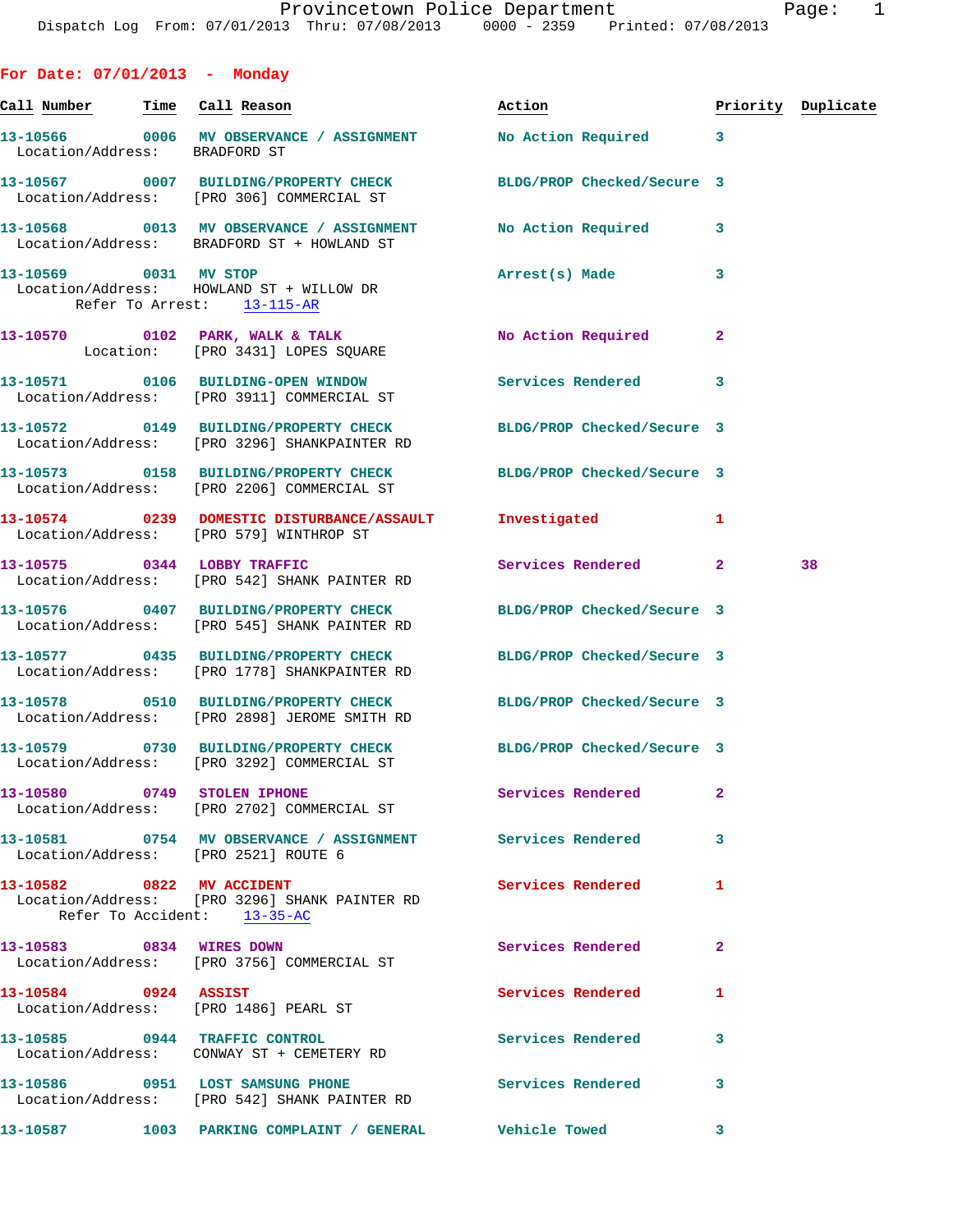| For Date: 07/01/2013 - Monday |                                                                                                    |                            |                |                    |
|-------------------------------|----------------------------------------------------------------------------------------------------|----------------------------|----------------|--------------------|
| Call Number Time Call Reason  |                                                                                                    | Act <u>ion</u>             |                | Priority Duplicate |
| Location/Address: BRADFORD ST | 13-10566 0006 MV OBSERVANCE / ASSIGNMENT                                                           | No Action Required         | $\mathbf{3}$   |                    |
|                               | 13-10567 0007 BUILDING/PROPERTY CHECK<br>Location/Address: [PRO 306] COMMERCIAL ST                 | BLDG/PROP Checked/Secure 3 |                |                    |
|                               | 13-10568 0013 MV OBSERVANCE / ASSIGNMENT<br>Location/Address: BRADFORD ST + HOWLAND ST             | No Action Required 3       |                |                    |
|                               | 13-10569 0031 MV STOP<br>Location/Address: HOWLAND ST + WILLOW DR<br>Refer To Arrest: 13-115-AR    | Arrest(s) Made             | 3              |                    |
|                               | 13-10570 0102 PARK, WALK & TALK<br>Location: [PRO 3431] LOPES SQUARE                               | No Action Required         | $\mathbf{2}$   |                    |
|                               | 13-10571 0106 BUILDING-OPEN WINDOW<br>Location/Address: [PRO 3911] COMMERCIAL ST                   | Services Rendered          | $\mathbf{3}$   |                    |
|                               | 13-10572 0149 BUILDING/PROPERTY CHECK<br>Location/Address: [PRO 3296] SHANKPAINTER RD              | BLDG/PROP Checked/Secure 3 |                |                    |
|                               | 13-10573 0158 BUILDING/PROPERTY CHECK<br>Location/Address: [PRO 2206] COMMERCIAL ST                | BLDG/PROP Checked/Secure 3 |                |                    |
|                               | 13-10574 0239 DOMESTIC DISTURBANCE/ASSAULT<br>Location/Address: [PRO 579] WINTHROP ST              | Investigated               | 1              |                    |
| 13-10575 0344 LOBBY TRAFFIC   | Location/Address: [PRO 542] SHANK PAINTER RD                                                       | Services Rendered 2        |                | 38                 |
|                               | 13-10576 0407 BUILDING/PROPERTY CHECK<br>Location/Address: [PRO 545] SHANK PAINTER RD              | BLDG/PROP Checked/Secure 3 |                |                    |
|                               | 13-10577 0435 BUILDING/PROPERTY CHECK<br>Location/Address: [PRO 1778] SHANKPAINTER RD              | BLDG/PROP Checked/Secure 3 |                |                    |
|                               | 13-10578 0510 BUILDING/PROPERTY CHECK<br>Location/Address: [PRO 2898] JEROME SMITH RD              | BLDG/PROP Checked/Secure 3 |                |                    |
|                               | 13-10579 0730 BUILDING/PROPERTY CHECK<br>Location/Address: [PRO 3292] COMMERCIAL ST                | BLDG/PROP Checked/Secure 3 |                |                    |
|                               | 13-10580 0749 STOLEN IPHONE<br>Location/Address: [PRO 2702] COMMERCIAL ST                          | Services Rendered          | $\overline{a}$ |                    |
|                               | 13-10581 0754 MV OBSERVANCE / ASSIGNMENT Services Rendered<br>Location/Address: [PRO 2521] ROUTE 6 |                            | $\mathbf{3}$   |                    |
| 13-10582 0822 MV ACCIDENT     | Location/Address: [PRO 3296] SHANK PAINTER RD<br>Refer To Accident: 13-35-AC                       | <b>Services Rendered</b>   | 1              |                    |
| 13-10583 0834 WIRES DOWN      | Location/Address: [PRO 3756] COMMERCIAL ST                                                         | <b>Services Rendered</b>   | $\mathbf{2}$   |                    |
| 13-10584 0924 ASSIST          | Location/Address: [PRO 1486] PEARL ST                                                              | <b>Services Rendered</b>   | 1              |                    |
|                               | 13-10585 0944 TRAFFIC CONTROL                                                                      | Services Rendered          | 3              |                    |
|                               | 13-10586 0951 LOST SAMSUNG PHONE<br>Location/Address: [PRO 542] SHANK PAINTER RD                   | <b>Services Rendered</b>   | 3              |                    |
|                               | 13-10587 1003 PARKING COMPLAINT / GENERAL Vehicle Towed                                            |                            | 3              |                    |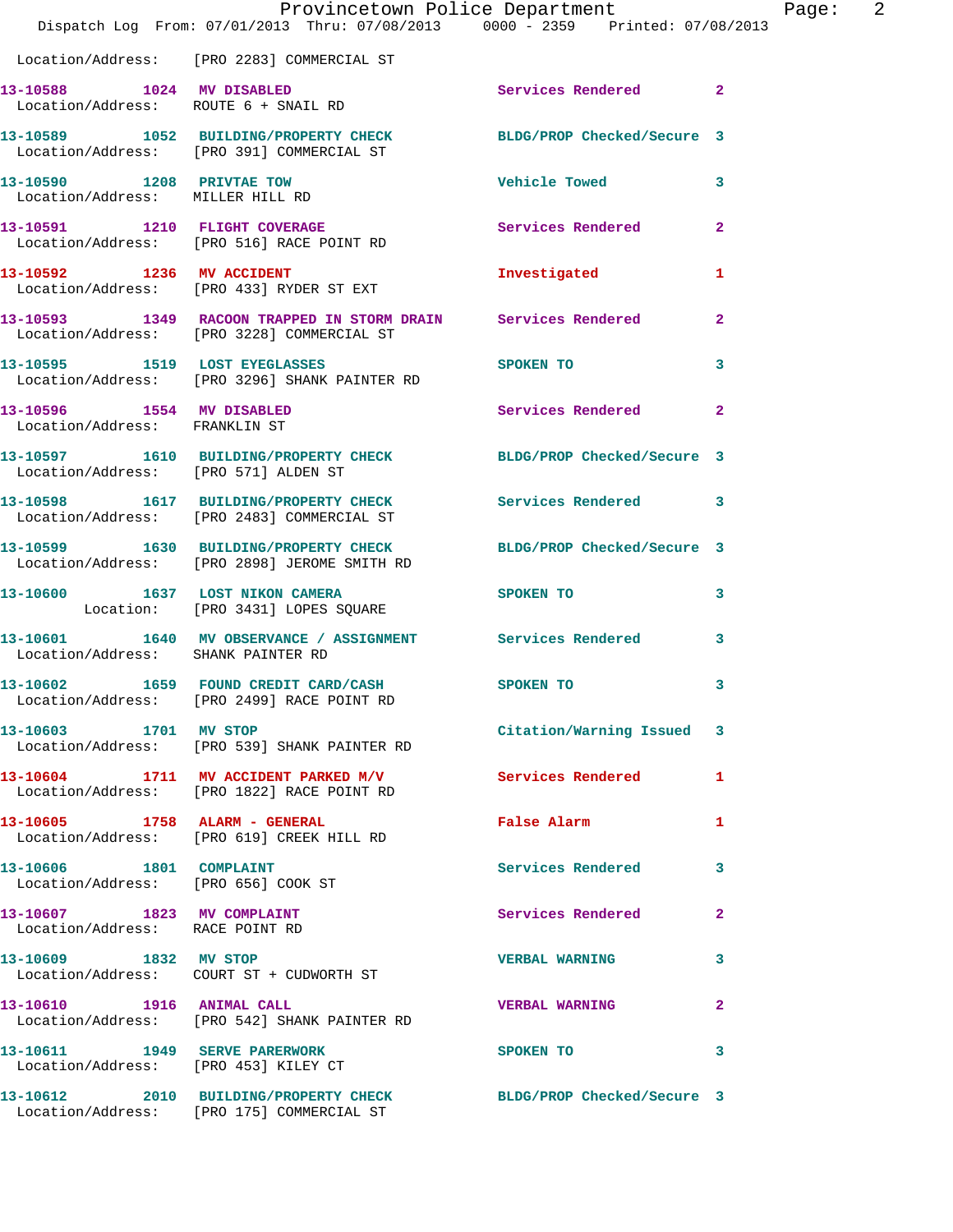|                                                                   | Provincetown Police Department<br>Dispatch Log From: 07/01/2013 Thru: 07/08/2013 0000 - 2359 Printed: 07/08/2013 |                            |                |
|-------------------------------------------------------------------|------------------------------------------------------------------------------------------------------------------|----------------------------|----------------|
|                                                                   | Location/Address: [PRO 2283] COMMERCIAL ST                                                                       |                            |                |
| 13-10588 1024 MV DISABLED<br>Location/Address: ROUTE 6 + SNAIL RD |                                                                                                                  | Services Rendered          | $\overline{2}$ |
|                                                                   | 13-10589 1052 BUILDING/PROPERTY CHECK BLDG/PROP Checked/Secure 3<br>Location/Address: [PRO 391] COMMERCIAL ST    |                            |                |
| 13-10590 1208 PRIVTAE TOW<br>Location/Address: MILLER HILL RD     |                                                                                                                  | <b>Vehicle Towed</b>       | 3              |
|                                                                   | 13-10591 1210 FLIGHT COVERAGE<br>Location/Address: [PRO 516] RACE POINT RD                                       | Services Rendered          | $\mathbf{2}$   |
|                                                                   | 13-10592 1236 MV ACCIDENT<br>Location/Address: [PRO 433] RYDER ST EXT                                            | Investigated               | 1              |
|                                                                   | 13-10593 1349 RACOON TRAPPED IN STORM DRAIN Services Rendered<br>Location/Address: [PRO 3228] COMMERCIAL ST      |                            | $\mathbf{2}$   |
|                                                                   | 13-10595 1519 LOST EYEGLASSES<br>Location/Address: [PRO 3296] SHANK PAINTER RD                                   | SPOKEN TO                  | 3              |
| 13-10596 1554 MV DISABLED<br>Location/Address: FRANKLIN ST        |                                                                                                                  | Services Rendered          | $\mathbf{2}$   |
| Location/Address: [PRO 571] ALDEN ST                              | 13-10597 1610 BUILDING/PROPERTY CHECK BLDG/PROP Checked/Secure 3                                                 |                            |                |
|                                                                   | 13-10598 1617 BUILDING/PROPERTY CHECK<br>Location/Address: [PRO 2483] COMMERCIAL ST                              | <b>Services Rendered</b>   | 3              |
|                                                                   | 13-10599 1630 BUILDING/PROPERTY CHECK<br>Location/Address: [PRO 2898] JEROME SMITH RD                            | BLDG/PROP Checked/Secure 3 |                |
|                                                                   | 13-10600 1637 LOST NIKON CAMERA<br>Location: [PRO 3431] LOPES SQUARE                                             | SPOKEN TO                  | 3              |
| Location/Address: SHANK PAINTER RD                                | 13-10601 1640 MV OBSERVANCE / ASSIGNMENT Services Rendered                                                       |                            | 3              |
| 13-10602                                                          | 1659 FOUND CREDIT CARD/CASH<br>Location/Address: [PRO 2499] RACE POINT RD                                        | SPOKEN TO                  | 3              |
| 13-10603 1701 MV STOP                                             | Location/Address: [PRO 539] SHANK PAINTER RD                                                                     | Citation/Warning Issued 3  |                |
|                                                                   | 13-10604 1711 MV ACCIDENT PARKED M/V<br>Location/Address: [PRO 1822] RACE POINT RD                               | Services Rendered          | 1              |
|                                                                   | 13-10605 1758 ALARM - GENERAL<br>Location/Address: [PRO 619] CREEK HILL RD                                       | False Alarm                | 1              |
| 13-10606 1801 COMPLAINT<br>Location/Address: [PRO 656] COOK ST    |                                                                                                                  | Services Rendered          | 3              |
| 13-10607 1823 MV COMPLAINT<br>Location/Address: RACE POINT RD     |                                                                                                                  | Services Rendered          | 2              |
|                                                                   | 13-10609 1832 MV STOP                                                                                            | <b>VERBAL WARNING</b>      | 3              |
| 13-10610 1916 ANIMAL CALL                                         | Location/Address: [PRO 542] SHANK PAINTER RD                                                                     | <b>VERBAL WARNING</b>      | $\overline{2}$ |
| Location/Address: [PRO 453] KILEY CT                              | 13-10611 1949 SERVE PARERWORK                                                                                    | SPOKEN TO                  | 3              |
|                                                                   | 13-10612 2010 BUILDING/PROPERTY CHECK BLDG/PROP Checked/Secure 3<br>Location/Address: [PRO 175] COMMERCIAL ST    |                            |                |

Page: 2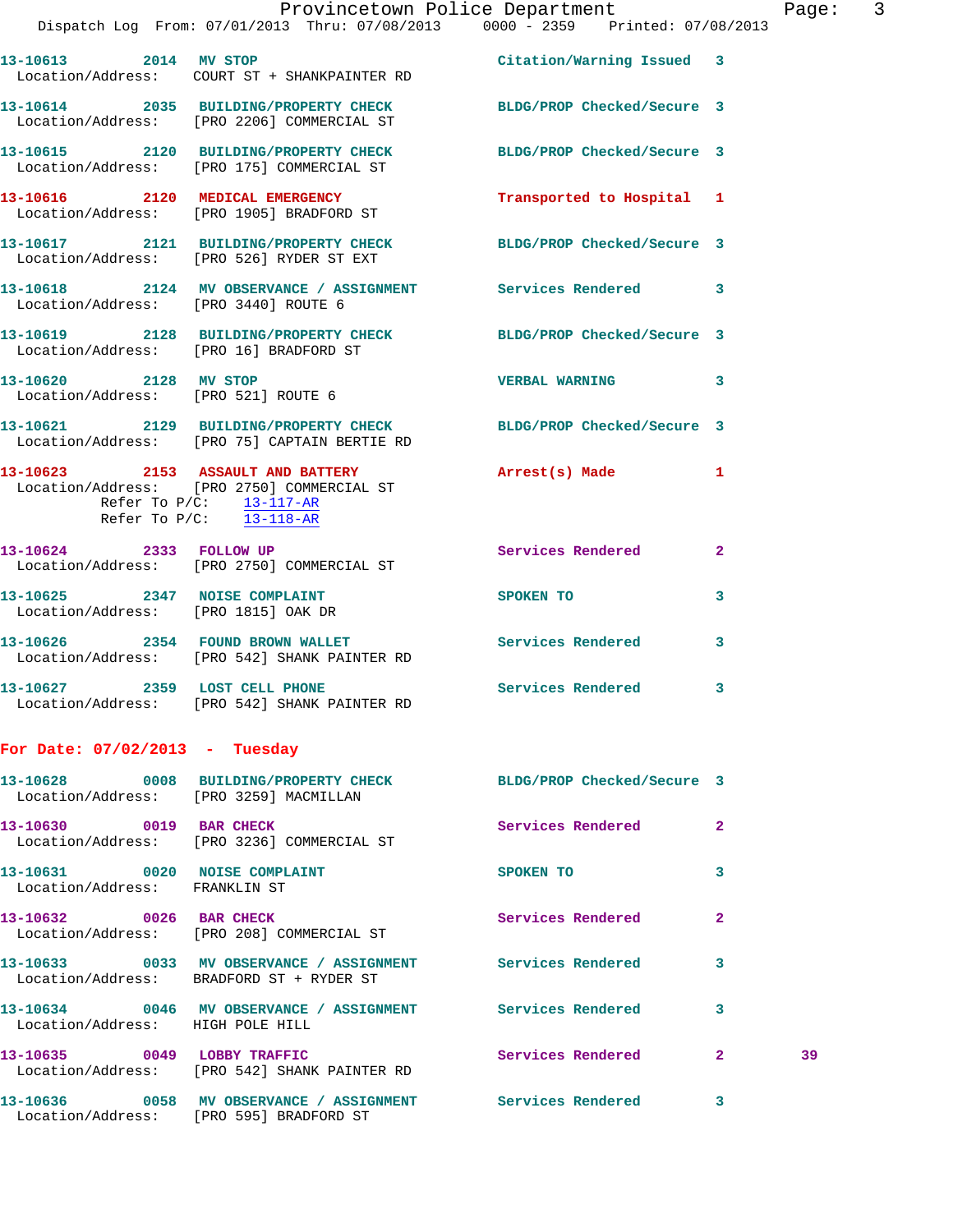| 13-10613 2014 MV STOP                                                | Location/Address: COURT ST + SHANKPAINTER RD                                                                                                                        | Citation/Warning Issued 3  |                         |
|----------------------------------------------------------------------|---------------------------------------------------------------------------------------------------------------------------------------------------------------------|----------------------------|-------------------------|
|                                                                      | 13-10614 2035 BUILDING/PROPERTY CHECK<br>Location/Address: [PRO 2206] COMMERCIAL ST                                                                                 | BLDG/PROP Checked/Secure 3 |                         |
|                                                                      | 13-10615 2120 BUILDING/PROPERTY CHECK<br>Location/Address: [PRO 175] COMMERCIAL ST                                                                                  | BLDG/PROP Checked/Secure 3 |                         |
|                                                                      | 13-10616 2120 MEDICAL EMERGENCY<br>Location/Address: [PRO 1905] BRADFORD ST                                                                                         | Transported to Hospital 1  |                         |
|                                                                      | 13-10617 2121 BUILDING/PROPERTY CHECK<br>Location/Address: [PRO 526] RYDER ST EXT                                                                                   | BLDG/PROP Checked/Secure 3 |                         |
| Location/Address: [PRO 3440] ROUTE 6                                 | 13-10618 2124 MV OBSERVANCE / ASSIGNMENT Services Rendered 3                                                                                                        |                            |                         |
| Location/Address: [PRO 16] BRADFORD ST                               | 13-10619 2128 BUILDING/PROPERTY CHECK                                                                                                                               | BLDG/PROP Checked/Secure 3 |                         |
| 13-10620 2128 MV STOP<br>Location/Address: [PRO 521] ROUTE 6         |                                                                                                                                                                     | <b>VERBAL WARNING</b>      | $\overline{\mathbf{3}}$ |
|                                                                      | 13-10621 2129 BUILDING/PROPERTY CHECK<br>Location/Address: [PRO 75] CAPTAIN BERTIE RD                                                                               | BLDG/PROP Checked/Secure 3 |                         |
|                                                                      | 13-10623 2153 ASSAULT AND BATTERY<br>Location/Address: [PRO 2750] COMMERCIAL ST<br>Refer To $P/C$ : $\frac{13-117-AR}{2}$<br>Refer To $P/C$ : $\frac{13-118-AR}{2}$ | Arrest(s) Made             | $\mathbf{1}$            |
| 13-10624 2333 FOLLOW UP                                              | Location/Address: [PRO 2750] COMMERCIAL ST                                                                                                                          | <b>Services Rendered</b>   | $\mathbf{2}$            |
| 13-10625 2347 NOISE COMPLAINT<br>Location/Address: [PRO 1815] OAK DR |                                                                                                                                                                     | SPOKEN TO                  | 3                       |
| 13-10626 2354 FOUND BROWN WALLET                                     | Location/Address: [PRO 542] SHANK PAINTER RD                                                                                                                        | Services Rendered          | 3                       |
|                                                                      | 13-10627 2359 LOST CELL PHONE<br>Location/Address: [PRO 542] SHANK PAINTER RD                                                                                       | Services Rendered 3        |                         |
| For Date: $07/02/2013$ - Tuesday                                     |                                                                                                                                                                     |                            |                         |
|                                                                      | 13-10628 0008 BUILDING/PROPERTY CHECK<br>Location/Address: [PRO 3259] MACMILLAN                                                                                     | BLDG/PROP Checked/Secure 3 |                         |
| 13-10630 0019 BAR CHECK                                              | Location/Address: [PRO 3236] COMMERCIAL ST                                                                                                                          | Services Rendered          | $\mathbf{2}$            |
| 13-10631 0020 NOISE COMPLAINT<br>Location/Address: FRANKLIN ST       |                                                                                                                                                                     | SPOKEN TO                  | 3                       |
| 13-10632 0026 BAR CHECK                                              | Location/Address: [PRO 208] COMMERCIAL ST                                                                                                                           | Services Rendered          | 2                       |
|                                                                      | 13-10633 0033 MV OBSERVANCE / ASSIGNMENT Services Rendered<br>Location/Address: BRADFORD ST + RYDER ST                                                              |                            | 3                       |
| Location/Address: HIGH POLE HILL                                     | 13-10634 0046 MV OBSERVANCE / ASSIGNMENT Services Rendered                                                                                                          |                            | 3                       |

**13-10635 0049 LOBBY TRAFFIC Services Rendered 2 39**  Location/Address: [PRO 542] SHANK PAINTER RD **13-10636 0058 MV OBSERVANCE / ASSIGNMENT Services Rendered 3** 

Location/Address: [PRO 595] BRADFORD ST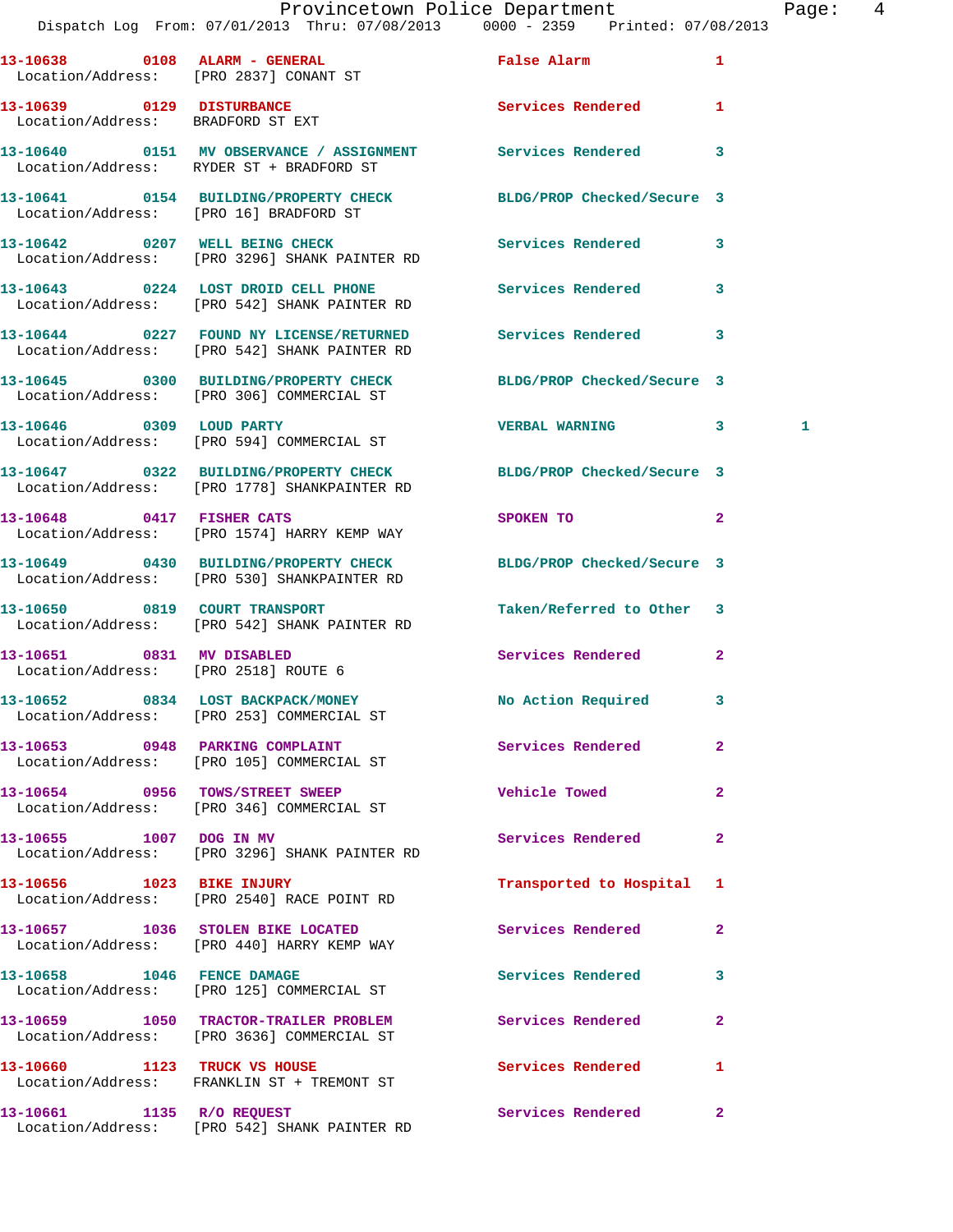|                                                                   | Provincetown Police Department<br>Dispatch Log From: 07/01/2013 Thru: 07/08/2013 0000 - 2359 Printed: 07/08/2013 |                                                                                                                                                                                                                               |              | Page: 4 |  |
|-------------------------------------------------------------------|------------------------------------------------------------------------------------------------------------------|-------------------------------------------------------------------------------------------------------------------------------------------------------------------------------------------------------------------------------|--------------|---------|--|
|                                                                   | 13-10638 0108 ALARM - GENERAL<br>Location/Address: [PRO 2837] CONANT ST                                          | False Alarm and the state of the state of the state of the state of the state of the state of the state of the                                                                                                                |              |         |  |
| 13-10639 0129 DISTURBANCE<br>Location/Address: BRADFORD ST EXT    |                                                                                                                  | Services Rendered 1                                                                                                                                                                                                           |              |         |  |
|                                                                   | 13-10640 0151 MV OBSERVANCE / ASSIGNMENT Services Rendered 3<br>Location/Address: RYDER ST + BRADFORD ST         |                                                                                                                                                                                                                               |              |         |  |
|                                                                   | 13-10641 0154 BUILDING/PROPERTY CHECK BLDG/PROP Checked/Secure 3<br>Location/Address: [PRO 16] BRADFORD ST       |                                                                                                                                                                                                                               |              |         |  |
|                                                                   | 13-10642 0207 WELL BEING CHECK<br>Location/Address: [PRO 3296] SHANK PAINTER RD                                  | Services Rendered 3                                                                                                                                                                                                           |              |         |  |
|                                                                   | 13-10643 0224 LOST DROID CELL PHONE Services Rendered 3<br>Location/Address: [PRO 542] SHANK PAINTER RD          |                                                                                                                                                                                                                               |              |         |  |
|                                                                   | 13-10644 0227 FOUND NY LICENSE/RETURNED Services Rendered 3<br>Location/Address: [PRO 542] SHANK PAINTER RD      |                                                                                                                                                                                                                               |              |         |  |
|                                                                   | 13-10645 0300 BUILDING/PROPERTY CHECK BLDG/PROP Checked/Secure 3<br>Location/Address: [PRO 306] COMMERCIAL ST    |                                                                                                                                                                                                                               |              |         |  |
|                                                                   | 13-10646 0309 LOUD PARTY<br>Location/Address: [PRO 594] COMMERCIAL ST                                            | VERBAL WARNING 3                                                                                                                                                                                                              |              | 1       |  |
|                                                                   | 13-10647 0322 BUILDING/PROPERTY CHECK BLDG/PROP Checked/Secure 3<br>Location/Address: [PRO 1778] SHANKPAINTER RD |                                                                                                                                                                                                                               |              |         |  |
|                                                                   | 13-10648 0417 FISHER CATS<br>Location/Address: [PRO 1574] HARRY KEMP WAY                                         | SPOKEN TO AND TO A STRUCK TO A THING OF THE STRUCK OF THE STRUCK OF THE STRUCK OF THE STRUCK OF THE STRUCK OF THE STRUCK OF THE STRUCK OF THE STRUCK OF THE STRUCK OF THE STRUCK OF THE STRUCK OF THE STRUCK OF THE STRUCK OF | $\mathbf{2}$ |         |  |
|                                                                   | 13-10649 0430 BUILDING/PROPERTY CHECK BLDG/PROP Checked/Secure 3<br>Location/Address: [PRO 530] SHANKPAINTER RD  |                                                                                                                                                                                                                               |              |         |  |
|                                                                   | 13-10650 0819 COURT TRANSPORT<br>Location/Address: [PRO 542] SHANK PAINTER RD                                    | Taken/Referred to Other 3                                                                                                                                                                                                     |              |         |  |
| 13-10651 0831 MV DISABLED<br>Location/Address: [PRO 2518] ROUTE 6 |                                                                                                                  | Services Rendered 2                                                                                                                                                                                                           |              |         |  |
|                                                                   | 13-10652 0834 LOST BACKPACK/MONEY<br>Location/Address: [PRO 253] COMMERCIAL ST                                   | No Action Required                                                                                                                                                                                                            | 3            |         |  |
|                                                                   | 13-10653 0948 PARKING COMPLAINT<br>Location/Address: [PRO 105] COMMERCIAL ST                                     | <b>Services Rendered</b>                                                                                                                                                                                                      | $\mathbf{2}$ |         |  |
|                                                                   | 13-10654 0956 TOWS/STREET SWEEP<br>Location/Address: [PRO 346] COMMERCIAL ST                                     | Vehicle Towed                                                                                                                                                                                                                 | $\mathbf{2}$ |         |  |
| 13-10655 1007 DOG IN MV                                           | Location/Address: [PRO 3296] SHANK PAINTER RD                                                                    | Services Rendered                                                                                                                                                                                                             | $\mathbf{2}$ |         |  |
|                                                                   | 13-10656 1023 BIKE INJURY<br>Location/Address: [PRO 2540] RACE POINT RD                                          | Transported to Hospital 1                                                                                                                                                                                                     |              |         |  |
|                                                                   | 13-10657 1036 STOLEN BIKE LOCATED<br>Location/Address: [PRO 440] HARRY KEMP WAY                                  | Services Rendered                                                                                                                                                                                                             | $\mathbf{2}$ |         |  |
|                                                                   | 13-10658 1046 FENCE DAMAGE<br>Location/Address: [PRO 125] COMMERCIAL ST                                          | Services Rendered                                                                                                                                                                                                             | 3            |         |  |
|                                                                   | 13-10659 1050 TRACTOR-TRAILER PROBLEM Services Rendered<br>Location/Address: [PRO 3636] COMMERCIAL ST            |                                                                                                                                                                                                                               | $\mathbf{2}$ |         |  |
|                                                                   | 13-10660 1123 TRUCK VS HOUSE<br>Location/Address: FRANKLIN ST + TREMONT ST                                       | Services Rendered                                                                                                                                                                                                             | $\mathbf{1}$ |         |  |
|                                                                   |                                                                                                                  |                                                                                                                                                                                                                               |              |         |  |

**13-10661 1135 R/O REQUEST Services Rendered 2** 

Location/Address: [PRO 542] SHANK PAINTER RD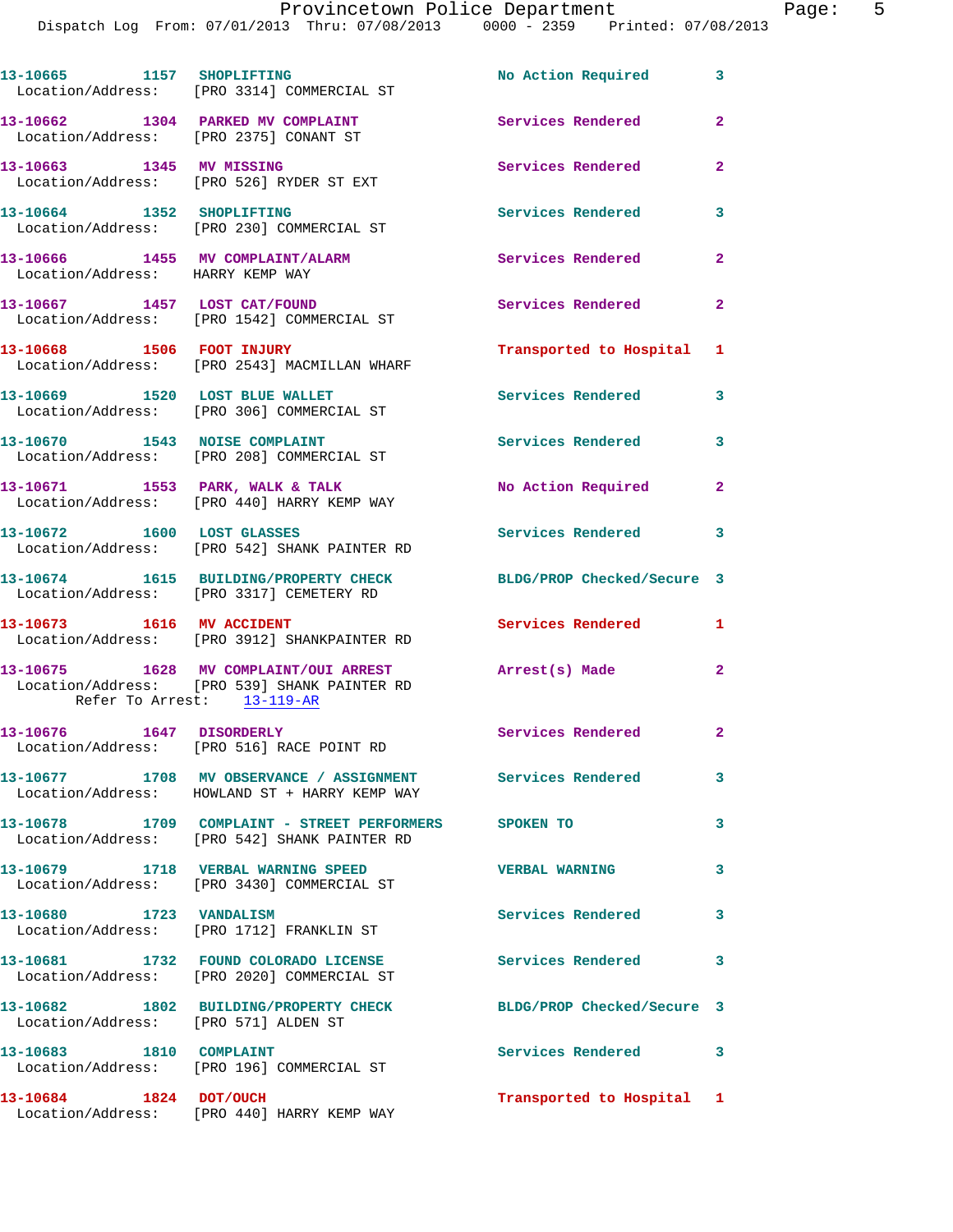Dispatch Log From: 07/01/2013 Thru: 07/08/2013 0000 - 2359 Printed: 07/08/2013

| 13-10665 1157 SHOPLIFTING                                                   | Location/Address: [PRO 3314] COMMERCIAL ST                                                                  | No Action Required 3       |                         |
|-----------------------------------------------------------------------------|-------------------------------------------------------------------------------------------------------------|----------------------------|-------------------------|
| 13-10662 1304 PARKED MV COMPLAINT<br>Location/Address: [PRO 2375] CONANT ST |                                                                                                             | <b>Services Rendered</b>   | $\mathbf{2}$            |
| 13-10663 1345 MV MISSING                                                    | Location/Address: [PRO 526] RYDER ST EXT                                                                    | Services Rendered          | $\overline{2}$          |
| 13-10664 1352 SHOPLIFTING                                                   | Location/Address: [PRO 230] COMMERCIAL ST                                                                   | <b>Services Rendered</b>   | 3                       |
| Location/Address: HARRY KEMP WAY                                            | 13-10666 1455 MV COMPLAINT/ALARM                                                                            | <b>Services Rendered</b>   | $\mathbf{2}$            |
|                                                                             | 13-10667 1457 LOST CAT/FOUND<br>Location/Address: [PRO 1542] COMMERCIAL ST                                  | Services Rendered          | $\mathbf{2}$            |
| 13-10668 1506 FOOT INJURY                                                   | Location/Address: [PRO 2543] MACMILLAN WHARF                                                                | Transported to Hospital 1  |                         |
|                                                                             | 13-10669 1520 LOST BLUE WALLET<br>Location/Address: [PRO 306] COMMERCIAL ST                                 | <b>Services Rendered</b>   | 3                       |
|                                                                             | 13-10670 1543 NOISE COMPLAINT<br>Location/Address: [PRO 208] COMMERCIAL ST                                  | <b>Services Rendered</b>   | $\overline{\mathbf{3}}$ |
|                                                                             | 13-10671 1553 PARK, WALK & TALK<br>Location/Address: [PRO 440] HARRY KEMP WAY                               | No Action Required         | $\mathbf{2}$            |
|                                                                             | 13-10672 1600 LOST GLASSES<br>Location/Address: [PRO 542] SHANK PAINTER RD                                  | Services Rendered          | $\mathbf{3}$            |
|                                                                             | 13-10674 1615 BUILDING/PROPERTY CHECK<br>Location/Address: [PRO 3317] CEMETERY RD                           | BLDG/PROP Checked/Secure 3 |                         |
|                                                                             | 13-10673 1616 MV ACCIDENT<br>Location/Address: [PRO 3912] SHANKPAINTER RD                                   | <b>Services Rendered</b>   | 1                       |
| Refer To Arrest: 13-119-AR                                                  | 13-10675 1628 MV COMPLAINT/OUI ARREST<br>Location/Address: [PRO 539] SHANK PAINTER RD                       | Arrest(s) Made             | $\overline{2}$          |
|                                                                             | 13-10676 1647 DISORDERLY<br>Location/Address: [PRO 516] RACE POINT RD                                       | <b>Services Rendered</b>   | $\mathbf{2}$            |
|                                                                             | 13-10677 1708 MV OBSERVANCE / ASSIGNMENT Services Rendered<br>Location/Address: HOWLAND ST + HARRY KEMP WAY |                            | 3                       |
|                                                                             | 13-10678 1709 COMPLAINT - STREET PERFORMERS SPOKEN TO<br>Location/Address: [PRO 542] SHANK PAINTER RD       |                            | 3                       |
|                                                                             | 13-10679 1718 VERBAL WARNING SPEED<br>Location/Address: [PRO 3430] COMMERCIAL ST                            | <b>VERBAL WARNING</b>      | 3                       |
| 13-10680 1723 VANDALISM                                                     | Location/Address: [PRO 1712] FRANKLIN ST                                                                    | <b>Services Rendered</b>   | $\mathbf{3}$            |
|                                                                             | 13-10681 1732 FOUND COLORADO LICENSE<br>Location/Address: [PRO 2020] COMMERCIAL ST                          | Services Rendered 3        |                         |
| Location/Address: [PRO 571] ALDEN ST                                        | 13-10682 1802 BUILDING/PROPERTY CHECK                                                                       | BLDG/PROP Checked/Secure 3 |                         |
| 13-10683 1810 COMPLAINT                                                     | Location/Address: [PRO 196] COMMERCIAL ST                                                                   | Services Rendered 3        |                         |
| 13-10684 1824 DOT/OUCH                                                      | Location/Address: [PRO 440] HARRY KEMP WAY                                                                  | Transported to Hospital 1  |                         |
|                                                                             |                                                                                                             |                            |                         |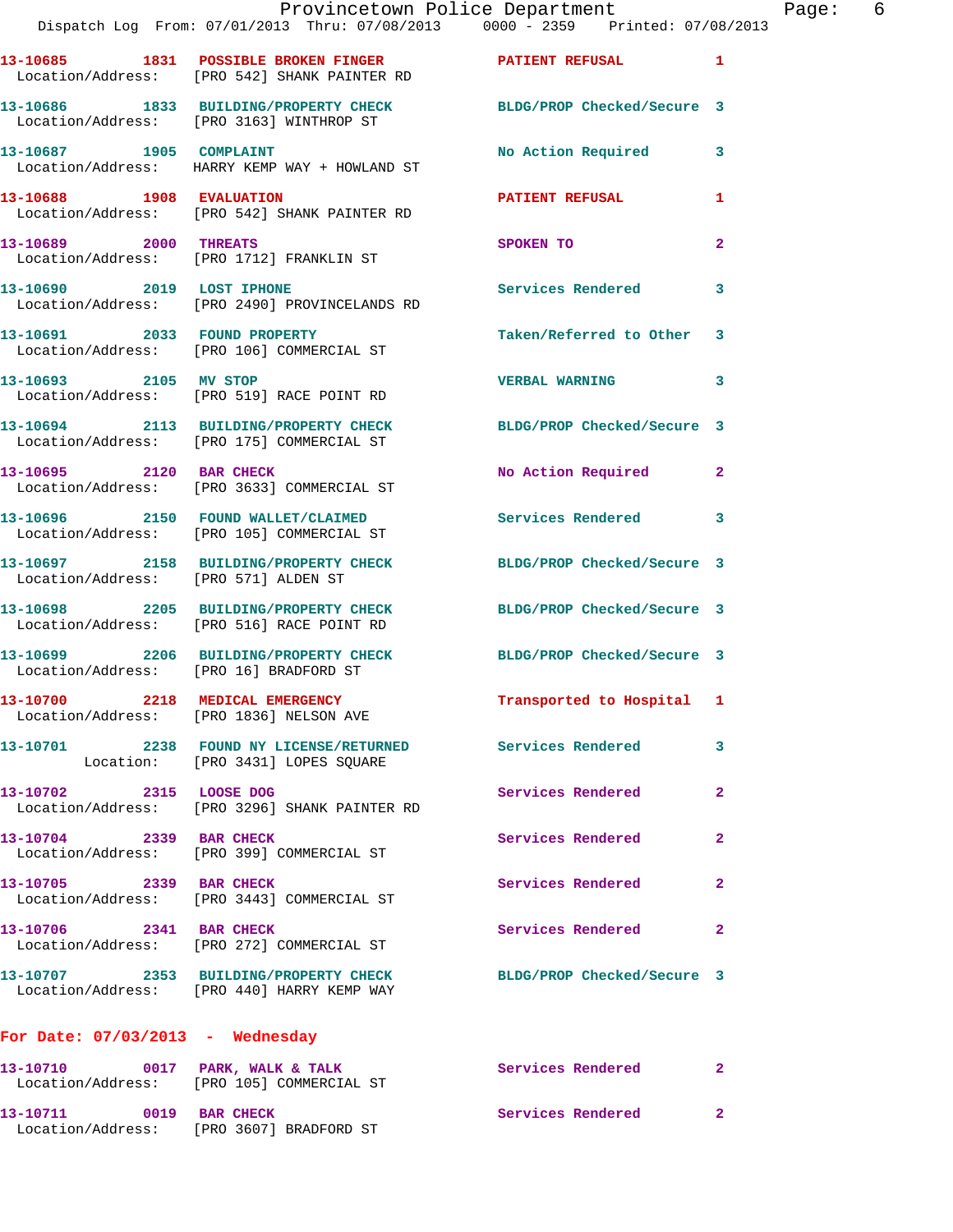|                                        | Dispatch Log From: 07/01/2013 Thru: 07/08/2013 0000 - 2359 Printed: 07/08/2013                                 | Provincetown Police Department | Page: 6        |
|----------------------------------------|----------------------------------------------------------------------------------------------------------------|--------------------------------|----------------|
|                                        | 13-10685 1831 POSSIBLE BROKEN FINGER PATIENT REFUSAL 1<br>Location/Address: [PRO 542] SHANK PAINTER RD         |                                |                |
|                                        | 13-10686 1833 BUILDING/PROPERTY CHECK BLDG/PROP Checked/Secure 3<br>Location/Address: [PRO 3163] WINTHROP ST   |                                |                |
|                                        | 13-10687 1905 COMPLAINT<br>Location/Address: HARRY KEMP WAY + HOWLAND ST                                       | No Action Required 3           |                |
| 13-10688 1908 EVALUATION               | Location/Address: [PRO 542] SHANK PAINTER RD                                                                   | PATIENT REFUSAL                | 1              |
| 13-10689 2000 THREATS                  | Location/Address: [PRO 1712] FRANKLIN ST                                                                       | SPOKEN TO                      | $\mathbf{2}$   |
|                                        | 13-10690 2019 LOST IPHONE<br>Location/Address: [PRO 2490] PROVINCELANDS RD                                     | Services Rendered              | 3              |
|                                        | 13-10691 2033 FOUND PROPERTY<br>Location/Address: [PRO 106] COMMERCIAL ST                                      | Taken/Referred to Other 3      |                |
|                                        | 13-10693 2105 MV STOP<br>Location/Address: [PRO 519] RACE POINT RD                                             | <b>VERBAL WARNING</b>          | 3              |
|                                        | 13-10694 2113 BUILDING/PROPERTY CHECK BLDG/PROP Checked/Secure 3<br>Location/Address: [PRO 175] COMMERCIAL ST  |                                |                |
|                                        | 13-10695 2120 BAR CHECK<br>Location/Address: [PRO 3633] COMMERCIAL ST                                          | No Action Required 2           |                |
|                                        | 13-10696 2150 FOUND WALLET/CLAIMED Services Rendered 3<br>Location/Address: [PRO 105] COMMERCIAL ST            |                                |                |
| Location/Address: [PRO 571] ALDEN ST   | 13-10697 2158 BUILDING/PROPERTY CHECK BLDG/PROP Checked/Secure 3                                               |                                |                |
|                                        | 13-10698 2205 BUILDING/PROPERTY CHECK BLDG/PROP Checked/Secure 3<br>Location/Address: [PRO 516] RACE POINT RD  |                                |                |
| Location/Address: [PRO 16] BRADFORD ST | 13-10699 2206 BUILDING/PROPERTY CHECK BLDG/PROP Checked/Secure 3                                               |                                |                |
|                                        | 13-10700 2218 MEDICAL EMERGENCY<br>Location/Address: [PRO 1836] NELSON AVE                                     | Transported to Hospital 1      |                |
|                                        | 13-10701 2238 FOUND NY LICENSE/RETURNED Services Rendered<br>Location: [PRO 3431] LOPES SQUARE                 |                                | 3              |
| 13-10702 2315 LOOSE DOG                | Location/Address: [PRO 3296] SHANK PAINTER RD                                                                  | Services Rendered              | $\overline{2}$ |
| 13-10704 2339 BAR CHECK                | Location/Address: [PRO 399] COMMERCIAL ST                                                                      | Services Rendered              | $\mathbf{2}$   |
| 13-10705 2339 BAR CHECK                | Location/Address: [PRO 3443] COMMERCIAL ST                                                                     | Services Rendered              | $\mathbf{2}$   |
|                                        | 13-10706 2341 BAR CHECK<br>Location/Address: [PRO 272] COMMERCIAL ST                                           | Services Rendered              | 2              |
|                                        | 13-10707 2353 BUILDING/PROPERTY CHECK BLDG/PROP Checked/Secure 3<br>Location/Address: [PRO 440] HARRY KEMP WAY |                                |                |
| For Date: $07/03/2013$ - Wednesday     |                                                                                                                |                                |                |
|                                        | 13-10710 0017 PARK, WALK & TALK<br>Location/Address: [PRO 105] COMMERCIAL ST                                   | Services Rendered              | $\mathbf{2}$   |
|                                        | 13-10711 0019 BAR CHECK<br>Location/Address: [PRO 3607] BRADFORD ST                                            | Services Rendered              | 2              |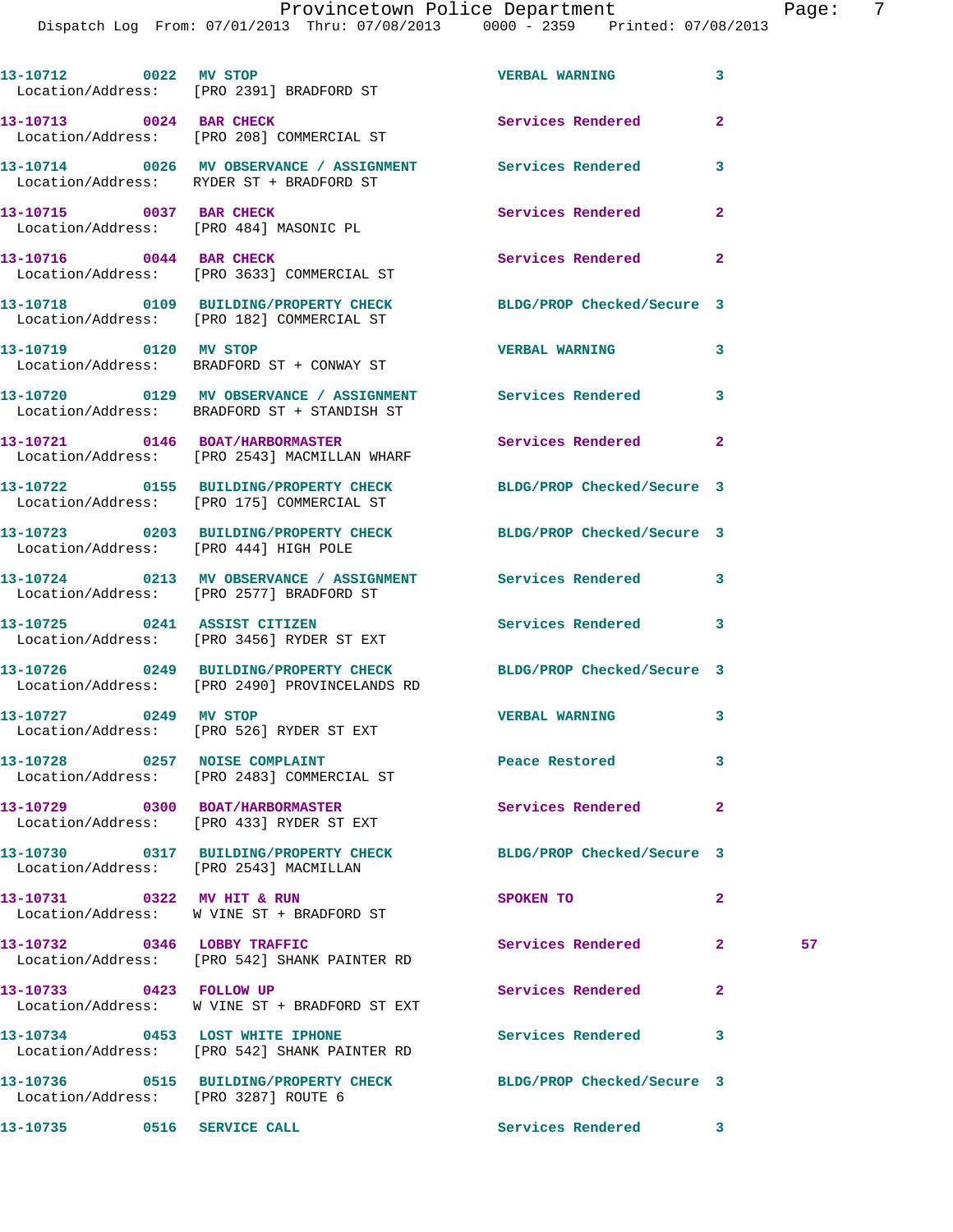Dispatch Log From: 07/01/2013 Thru: 07/08/2013 0000 - 2359 Printed: 07/08/2013

| 13-10712 0022 MV STOP                  | Location/Address: [PRO 2391] BRADFORD ST                                                                          | <b>VERBAL WARNING</b>      | $\mathbf{3}$   |    |
|----------------------------------------|-------------------------------------------------------------------------------------------------------------------|----------------------------|----------------|----|
|                                        | 13-10713 0024 BAR CHECK<br>Location/Address: [PRO 208] COMMERCIAL ST                                              | <b>Services Rendered</b>   | $\overline{2}$ |    |
|                                        | 13-10714 0026 MV OBSERVANCE / ASSIGNMENT Services Rendered<br>Location/Address: RYDER ST + BRADFORD ST            |                            | 3              |    |
| 13-10715 0037 BAR CHECK                | Location/Address: [PRO 484] MASONIC PL                                                                            | Services Rendered          | $\mathbf{2}$   |    |
|                                        | 13-10716 0044 BAR CHECK<br>Location/Address: [PRO 3633] COMMERCIAL ST                                             | Services Rendered 2        |                |    |
|                                        | 13-10718 0109 BUILDING/PROPERTY CHECK<br>Location/Address: [PRO 182] COMMERCIAL ST                                | BLDG/PROP Checked/Secure 3 |                |    |
| 13-10719 0120 MV STOP                  | Location/Address: BRADFORD ST + CONWAY ST                                                                         | <b>VERBAL WARNING</b>      | 3              |    |
|                                        | 13-10720 0129 MV OBSERVANCE / ASSIGNMENT Services Rendered 3<br>Location/Address: BRADFORD ST + STANDISH ST       |                            |                |    |
|                                        | 13-10721 0146 BOAT/HARBORMASTER<br>Location/Address: [PRO 2543] MACMILLAN WHARF                                   | Services Rendered          | $\overline{2}$ |    |
|                                        | 13-10722 0155 BUILDING/PROPERTY CHECK BLDG/PROP Checked/Secure 3<br>Location/Address: [PRO 175] COMMERCIAL ST     |                            |                |    |
| Location/Address: [PRO 444] HIGH POLE  | 13-10723 0203 BUILDING/PROPERTY CHECK BLDG/PROP Checked/Secure 3                                                  |                            |                |    |
|                                        | 13-10724 0213 MV OBSERVANCE / ASSIGNMENT Services Rendered 3<br>Location/Address: [PRO 2577] BRADFORD ST          |                            |                |    |
|                                        | 13-10725 0241 ASSIST CITIZEN<br>Location/Address: [PRO 3456] RYDER ST EXT                                         | Services Rendered          | 3              |    |
|                                        | 13-10726 0249 BUILDING/PROPERTY CHECK BLDG/PROP Checked/Secure 3<br>Location/Address: [PRO 2490] PROVINCELANDS RD |                            |                |    |
| 13-10727 0249 MV STOP                  | Location/Address: [PRO 526] RYDER ST EXT                                                                          | <b>VERBAL WARNING</b>      | 3              |    |
|                                        | 13-10728 0257 NOISE COMPLAINT<br>Location/Address: [PRO 2483] COMMERCIAL ST                                       | Peace Restored             | 3              |    |
|                                        | 13-10729 0300 BOAT/HARBORMASTER<br>Location/Address: [PRO 433] RYDER ST EXT                                       | Services Rendered          | $\mathbf{2}$   |    |
| Location/Address: [PRO 2543] MACMILLAN | 13-10730 0317 BUILDING/PROPERTY CHECK                                                                             | BLDG/PROP Checked/Secure 3 |                |    |
|                                        | 13-10731 0322 MV HIT & RUN<br>Location/Address: W VINE ST + BRADFORD ST                                           | SPOKEN TO                  | $\mathbf{2}$   |    |
| 13-10732 0346 LOBBY TRAFFIC            | Location/Address: [PRO 542] SHANK PAINTER RD                                                                      | Services Rendered          | $\mathbf{2}$   | 57 |
| 13-10733 0423 FOLLOW UP                | Location/Address: W VINE ST + BRADFORD ST EXT                                                                     | Services Rendered          | $\mathbf{2}$   |    |
| 13-10734 0453 LOST WHITE IPHONE        | Location/Address: [PRO 542] SHANK PAINTER RD                                                                      | <b>Services Rendered</b>   | 3              |    |
| Location/Address: [PRO 3287] ROUTE 6   | 13-10736 0515 BUILDING/PROPERTY CHECK BLDG/PROP Checked/Secure 3                                                  |                            |                |    |

**13-10735 0516 SERVICE CALL Services Rendered 3**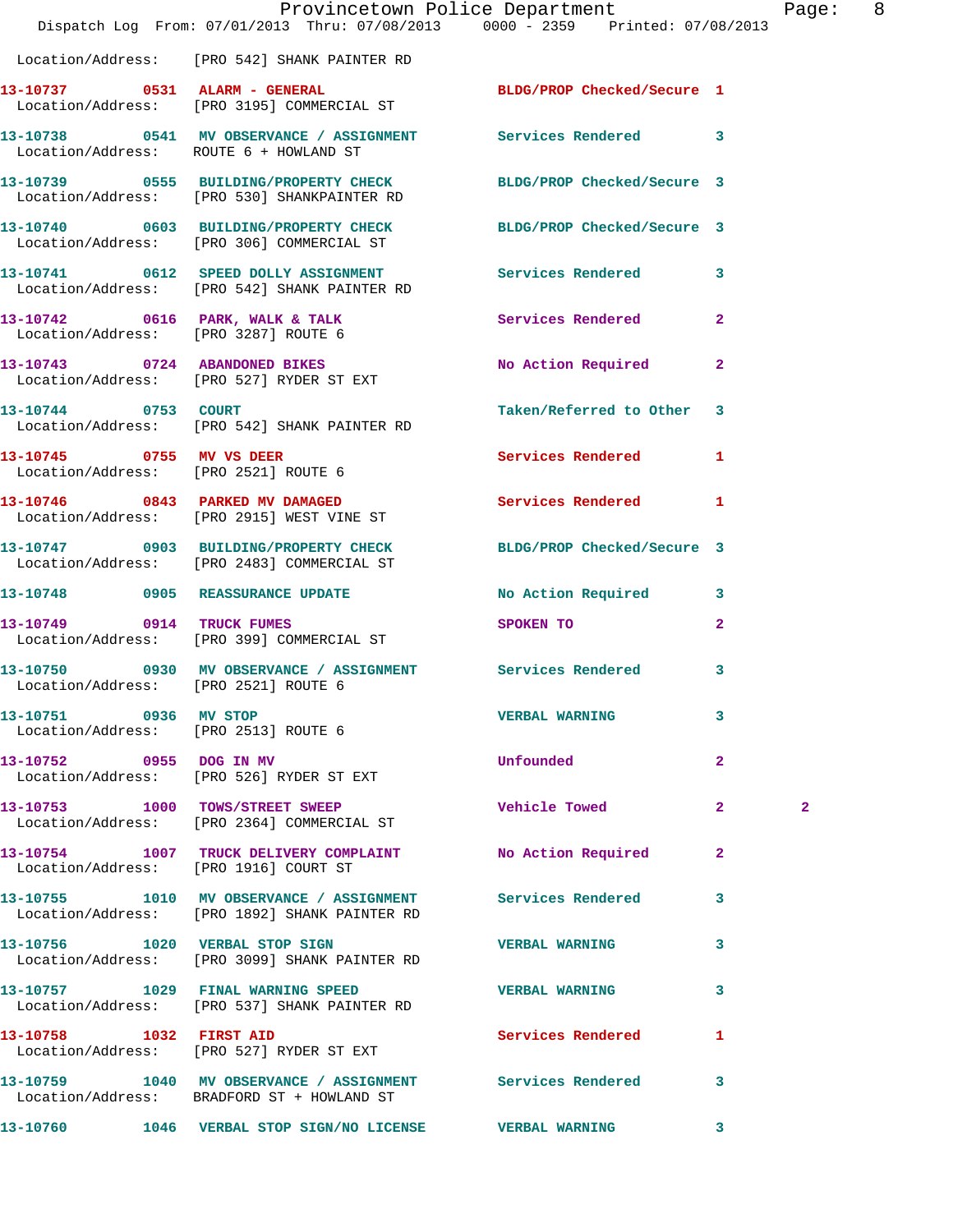|                                                               | Provincetown Police Department<br>Dispatch Log From: 07/01/2013 Thru: 07/08/2013 0000 - 2359 Printed: 07/08/2013 |                                                                                                                |              | Page: 8      |  |
|---------------------------------------------------------------|------------------------------------------------------------------------------------------------------------------|----------------------------------------------------------------------------------------------------------------|--------------|--------------|--|
|                                                               | Location/Address: [PRO 542] SHANK PAINTER RD                                                                     |                                                                                                                |              |              |  |
|                                                               | 13-10737 0531 ALARM - GENERAL<br>Location/Address: [PRO 3195] COMMERCIAL ST                                      | BLDG/PROP Checked/Secure 1                                                                                     |              |              |  |
|                                                               | 13-10738 0541 MV OBSERVANCE / ASSIGNMENT Services Rendered 3<br>Location/Address: ROUTE 6 + HOWLAND ST           |                                                                                                                |              |              |  |
|                                                               | 13-10739 0555 BUILDING/PROPERTY CHECK BLDG/PROP Checked/Secure 3<br>Location/Address: [PRO 530] SHANKPAINTER RD  |                                                                                                                |              |              |  |
|                                                               | 13-10740 0603 BUILDING/PROPERTY CHECK BLDG/PROP Checked/Secure 3<br>Location/Address: [PRO 306] COMMERCIAL ST    |                                                                                                                |              |              |  |
|                                                               | 13-10741 0612 SPEED DOLLY ASSIGNMENT Services Rendered 3<br>Location/Address: [PRO 542] SHANK PAINTER RD         |                                                                                                                |              |              |  |
|                                                               | 13-10742 0616 PARK, WALK & TALK Services Rendered 2<br>Location/Address: [PRO 3287] ROUTE 6                      |                                                                                                                |              |              |  |
|                                                               | 13-10743 0724 ABANDONED BIKES<br>Location/Address: [PRO 527] RYDER ST EXT                                        | No Action Required 2                                                                                           |              |              |  |
| 13-10744 0753 COURT                                           | Location/Address: [PRO 542] SHANK PAINTER RD                                                                     | Taken/Referred to Other 3                                                                                      |              |              |  |
|                                                               | 13-10745 0755 MV VS DEER<br>Location/Address: [PRO 2521] ROUTE 6                                                 | Services Rendered 1                                                                                            |              |              |  |
|                                                               | 13-10746 0843 PARKED MV DAMAGED<br>Location/Address: [PRO 2915] WEST VINE ST                                     | Services Rendered 1                                                                                            |              |              |  |
|                                                               | 13-10747 0903 BUILDING/PROPERTY CHECK BLDG/PROP Checked/Secure 3<br>Location/Address: [PRO 2483] COMMERCIAL ST   |                                                                                                                |              |              |  |
|                                                               | 13-10748 0905 REASSURANCE UPDATE                                                                                 | No Action Required 3                                                                                           |              |              |  |
|                                                               | 13-10749 0914 TRUCK FUMES<br>Location/Address: [PRO 399] COMMERCIAL ST                                           | SPOKEN TO THE STATE OF THE STATE OF THE STATE OF THE STATE OF THE STATE OF THE STATE OF THE STATE OF THE STATE | $\mathbf{2}$ |              |  |
| Location/Address: [PRO 2521] ROUTE 6                          | 13-10750 0930 MV OBSERVANCE / ASSIGNMENT Services Rendered 3                                                     |                                                                                                                |              |              |  |
| 13-10751 0936 MV STOP<br>Location/Address: [PRO 2513] ROUTE 6 |                                                                                                                  | <b>VERBAL WARNING</b>                                                                                          | 3            |              |  |
|                                                               | 13-10752 0955 DOG IN MV<br>Location/Address: [PRO 526] RYDER ST EXT                                              | Unfounded                                                                                                      | $\mathbf{2}$ |              |  |
|                                                               | 13-10753 1000 TOWS/STREET SWEEP<br>Location/Address: [PRO 2364] COMMERCIAL ST                                    | <b>Vehicle Towed</b>                                                                                           | $\mathbf{2}$ | $\mathbf{2}$ |  |
|                                                               | 13-10754 1007 TRUCK DELIVERY COMPLAINT No Action Required 2<br>Location/Address: [PRO 1916] COURT ST             |                                                                                                                |              |              |  |
|                                                               | 13-10755 1010 MV OBSERVANCE / ASSIGNMENT Services Rendered<br>Location/Address: [PRO 1892] SHANK PAINTER RD      |                                                                                                                | 3            |              |  |
|                                                               | 13-10756 1020 VERBAL STOP SIGN<br>Location/Address: [PRO 3099] SHANK PAINTER RD                                  | <b>VERBAL WARNING</b>                                                                                          | 3            |              |  |
|                                                               | 13-10757 1029 FINAL WARNING SPEED<br>Location/Address: [PRO 537] SHANK PAINTER RD                                | <b>VERBAL WARNING</b>                                                                                          | 3            |              |  |
| 13-10758 1032 FIRST AID                                       | Location/Address: [PRO 527] RYDER ST EXT                                                                         | Services Rendered                                                                                              | $\mathbf{1}$ |              |  |
|                                                               | 13-10759 1040 MV OBSERVANCE / ASSIGNMENT Services Rendered 3<br>Location/Address: BRADFORD ST + HOWLAND ST       |                                                                                                                |              |              |  |
|                                                               | 13-10760 1046 VERBAL STOP SIGN/NO LICENSE WERBAL WARNING 3                                                       |                                                                                                                |              |              |  |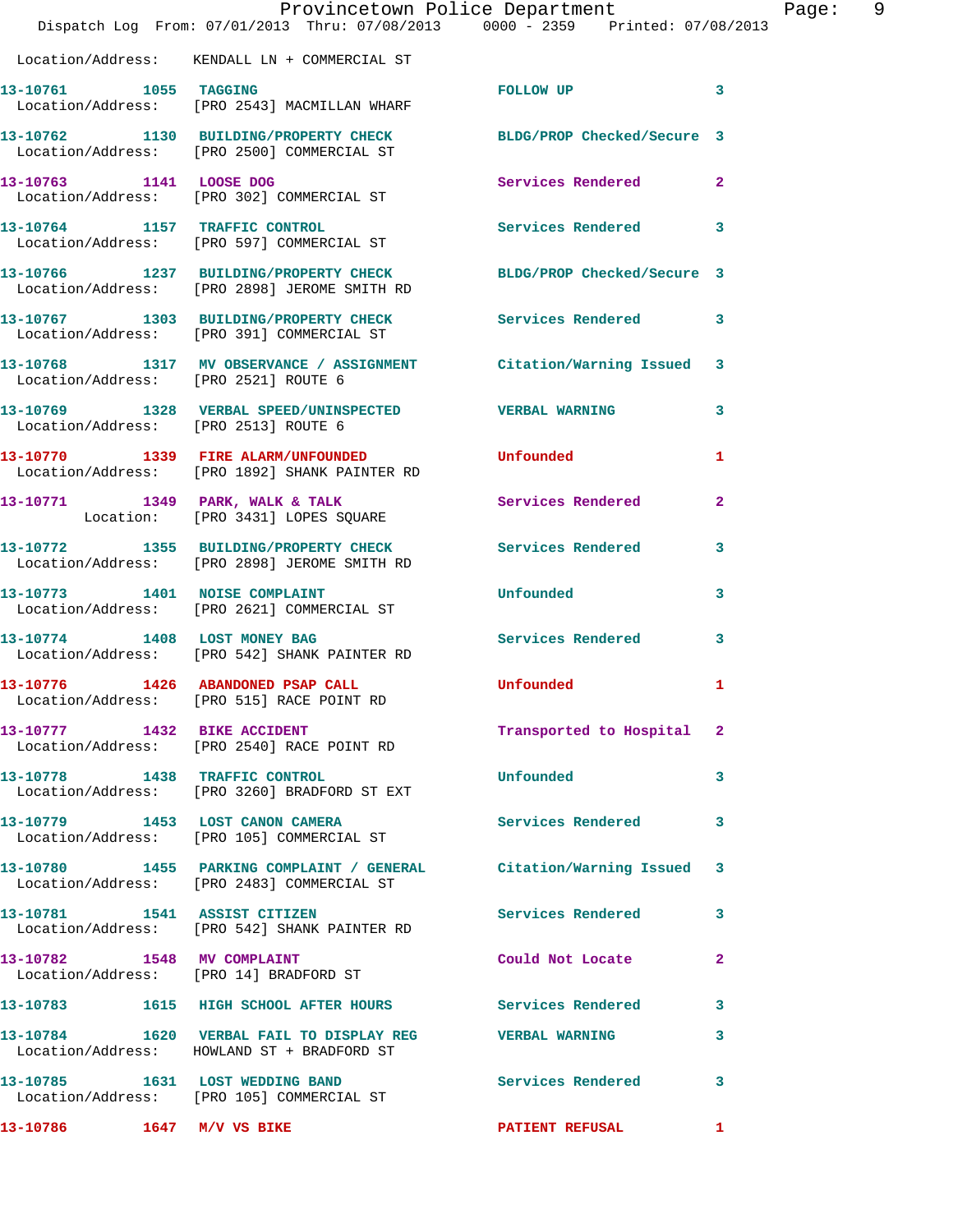|                               | Provincetown Police Department<br>Dispatch Log From: 07/01/2013 Thru: 07/08/2013 0000 - 2359 Printed: 07/08/2013  |                                                                                                                       | Page: 9                    |
|-------------------------------|-------------------------------------------------------------------------------------------------------------------|-----------------------------------------------------------------------------------------------------------------------|----------------------------|
|                               | Location/Address: KENDALL LN + COMMERCIAL ST                                                                      |                                                                                                                       |                            |
|                               | 13-10761 1055 TAGGING<br>Location/Address: [PRO 2543] MACMILLAN WHARF                                             | FOLLOW UP                                                                                                             | $\overline{\phantom{a}}$ 3 |
|                               | 13-10762 1130 BUILDING/PROPERTY CHECK BLDG/PROP Checked/Secure 3<br>Location/Address: [PRO 2500] COMMERCIAL ST    |                                                                                                                       |                            |
|                               | 13-10763 1141 LOOSE DOG<br>Location/Address: [PRO 302] COMMERCIAL ST                                              | Services Rendered 2                                                                                                   |                            |
|                               | 13-10764 1157 TRAFFIC CONTROL<br>Location/Address: [PRO 597] COMMERCIAL ST                                        | Services Rendered 3                                                                                                   |                            |
|                               | 13-10766 1237 BUILDING/PROPERTY CHECK BLDG/PROP Checked/Secure 3<br>Location/Address: [PRO 2898] JEROME SMITH RD  |                                                                                                                       |                            |
|                               | 13-10767 1303 BUILDING/PROPERTY CHECK Services Rendered 3<br>Location/Address: [PRO 391] COMMERCIAL ST            |                                                                                                                       |                            |
|                               | 13-10768 1317 MV OBSERVANCE / ASSIGNMENT Citation/Warning Issued 3<br>Location/Address: [PRO 2521] ROUTE 6        |                                                                                                                       |                            |
|                               | 13-10769 1328 VERBAL SPEED/UNINSPECTED VERBAL WARNING<br>  Location/Address: [PRO 2513] ROUTE 6                   |                                                                                                                       | $\mathbf{3}$               |
|                               | 13-10770 1339 FIRE ALARM/UNFOUNDED<br>Location/Address: [PRO 1892] SHANK PAINTER RD                               | Unfounded                                                                                                             | $\mathbf{1}$               |
|                               | 13-10771 1349 PARK, WALK & TALK<br>Location: [PRO 3431] LOPES SQUARE                                              | Services Rendered                                                                                                     | $\mathbf{2}$               |
|                               | 13-10772 1355 BUILDING/PROPERTY CHECK Services Rendered 3<br>Location/Address: [PRO 2898] JEROME SMITH RD         |                                                                                                                       |                            |
|                               | 13-10773 1401 NOISE COMPLAINT<br>Location/Address: [PRO 2621] COMMERCIAL ST                                       | Unfounded                                                                                                             | 3                          |
|                               | 13-10774 1408 LOST MONEY BAG<br>Location/Address: [PRO 542] SHANK PAINTER RD                                      | Services Rendered 3                                                                                                   |                            |
|                               | 13-10776 1426 ABANDONED PSAP CALL<br>Location/Address: [PRO 515] RACE POINT RD                                    | <b>Unfounded</b> and the control of the control of the control of the control of the control of the control of the co |                            |
|                               | 13-10777 1432 BIKE ACCIDENT<br>Location/Address: [PRO 2540] RACE POINT RD                                         | Transported to Hospital 2                                                                                             |                            |
| 13-10778 1438 TRAFFIC CONTROL | Location/Address: [PRO 3260] BRADFORD ST EXT                                                                      | <b>Unfounded</b>                                                                                                      | $\mathbf{3}$               |
|                               | 13-10779 1453 LOST CANON CAMERA<br>Location/Address: [PRO 105] COMMERCIAL ST                                      | Services Rendered                                                                                                     | 3                          |
|                               | 13-10780 1455 PARKING COMPLAINT / GENERAL Citation/Warning Issued 3<br>Location/Address: [PRO 2483] COMMERCIAL ST |                                                                                                                       |                            |
|                               | 13-10781 1541 ASSIST CITIZEN<br>Location/Address: [PRO 542] SHANK PAINTER RD                                      | Services Rendered                                                                                                     | 3                          |
| 13-10782 1548 MV COMPLAINT    | Location/Address: [PRO 14] BRADFORD ST                                                                            | Could Not Locate                                                                                                      | $\mathbf{2}$               |
|                               | 13-10783 1615 HIGH SCHOOL AFTER HOURS Services Rendered 3                                                         |                                                                                                                       |                            |
|                               | 13-10784 1620 VERBAL FAIL TO DISPLAY REG WERBAL WARNING<br>Location/Address: HOWLAND ST + BRADFORD ST             |                                                                                                                       | 3                          |
|                               | 13-10785 1631 LOST WEDDING BAND<br>Location/Address: [PRO 105] COMMERCIAL ST                                      | <b>Services Rendered</b>                                                                                              | 3                          |
|                               |                                                                                                                   | PATIENT REFUSAL 1                                                                                                     |                            |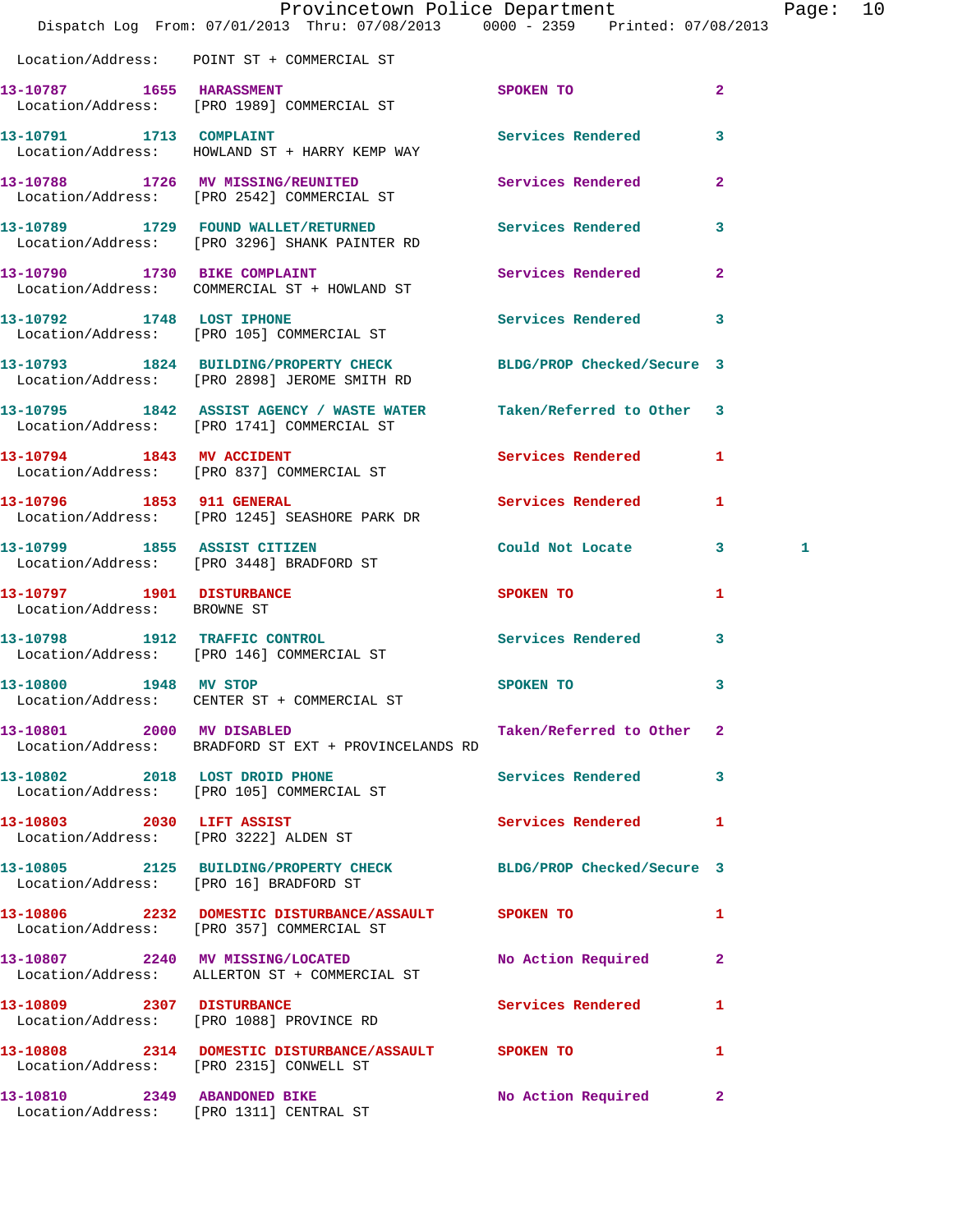|                                                          | Dispatch Log From: 07/01/2013 Thru: 07/08/2013 0000 - 2359 Printed: 07/08/2013                                    | Provincetown Police Department |              | Page: | 10 |
|----------------------------------------------------------|-------------------------------------------------------------------------------------------------------------------|--------------------------------|--------------|-------|----|
|                                                          | Location/Address: POINT ST + COMMERCIAL ST                                                                        |                                |              |       |    |
| 13-10787 1655 HARASSMENT                                 | Location/Address: [PRO 1989] COMMERCIAL ST                                                                        | SPOKEN TO                      | $\mathbf{2}$ |       |    |
|                                                          | 13-10791 1713 COMPLAINT<br>Location/Address: HOWLAND ST + HARRY KEMP WAY                                          | <b>Services Rendered</b>       | $\mathbf{3}$ |       |    |
|                                                          | 13-10788 1726 MV MISSING/REUNITED<br>Location/Address: [PRO 2542] COMMERCIAL ST                                   | Services Rendered 2            |              |       |    |
|                                                          | 13-10789 1729 FOUND WALLET/RETURNED Services Rendered 3<br>Location/Address: [PRO 3296] SHANK PAINTER RD          |                                |              |       |    |
|                                                          | 13-10790 1730 BIKE COMPLAINT<br>Location/Address: COMMERCIAL ST + HOWLAND ST                                      | Services Rendered 2            |              |       |    |
|                                                          | 13-10792 1748 LOST IPHONE<br>Location/Address: [PRO 105] COMMERCIAL ST                                            | Services Rendered 3            |              |       |    |
|                                                          | 13-10793 1824 BUILDING/PROPERTY CHECK BLDG/PROP Checked/Secure 3<br>Location/Address: [PRO 2898] JEROME SMITH RD  |                                |              |       |    |
|                                                          | 13-10795 1842 ASSIST AGENCY / WASTE WATER Taken/Referred to Other 3<br>Location/Address: [PRO 1741] COMMERCIAL ST |                                |              |       |    |
| 13-10794 1843 MV ACCIDENT                                | Location/Address: [PRO 837] COMMERCIAL ST                                                                         | Services Rendered 1            |              |       |    |
|                                                          | 13-10796 1853 911 GENERAL<br>Location/Address: [PRO 1245] SEASHORE PARK DR                                        | Services Rendered              | $\mathbf{1}$ |       |    |
| 13-10799 1855 ASSIST CITIZEN                             | Location/Address: [PRO 3448] BRADFORD ST                                                                          | Could Not Locate 3             |              | 1     |    |
| 13-10797 1901 DISTURBANCE<br>Location/Address: BROWNE ST |                                                                                                                   | <b>SPOKEN TO</b>               | 1            |       |    |
|                                                          | 13-10798 1912 TRAFFIC CONTROL<br>Location/Address: [PRO 146] COMMERCIAL ST                                        | <b>Services Rendered</b>       | 3            |       |    |
| 13-10800 1948 MV STOP                                    | Location/Address: CENTER ST + COMMERCIAL ST                                                                       | SPOKEN TO                      | 3            |       |    |
| 13-10801 2000 MV DISABLED                                | Location/Address: BRADFORD ST EXT + PROVINCELANDS RD                                                              | Taken/Referred to Other 2      |              |       |    |
|                                                          | 13-10802 2018 LOST DROID PHONE<br>Location/Address: [PRO 105] COMMERCIAL ST                                       | Services Rendered 3            |              |       |    |
|                                                          | 13-10803 2030 LIFT ASSIST<br>Location/Address: [PRO 3222] ALDEN ST                                                | Services Rendered 1            |              |       |    |
| Location/Address: [PRO 16] BRADFORD ST                   | 13-10805 2125 BUILDING/PROPERTY CHECK BLDG/PROP Checked/Secure 3                                                  |                                |              |       |    |
|                                                          | 13-10806 2232 DOMESTIC DISTURBANCE/ASSAULT SPOKEN TO<br>Location/Address: [PRO 357] COMMERCIAL ST                 |                                | 1            |       |    |
|                                                          | 13-10807 2240 MV MISSING/LOCATED<br>Location/Address: ALLERTON ST + COMMERCIAL ST                                 | No Action Required             | $\mathbf{2}$ |       |    |
| 13-10809 2307 DISTURBANCE                                | Location/Address: [PRO 1088] PROVINCE RD                                                                          | <b>Services Rendered</b>       | $\mathbf{1}$ |       |    |
|                                                          | 13-10808 2314 DOMESTIC DISTURBANCE/ASSAULT SPOKEN TO<br>Location/Address: [PRO 2315] CONWELL ST                   |                                | 1            |       |    |
| 13-10810 2349 ABANDONED BIKE                             | Location/Address: [PRO 1311] CENTRAL ST                                                                           | No Action Required 2           |              |       |    |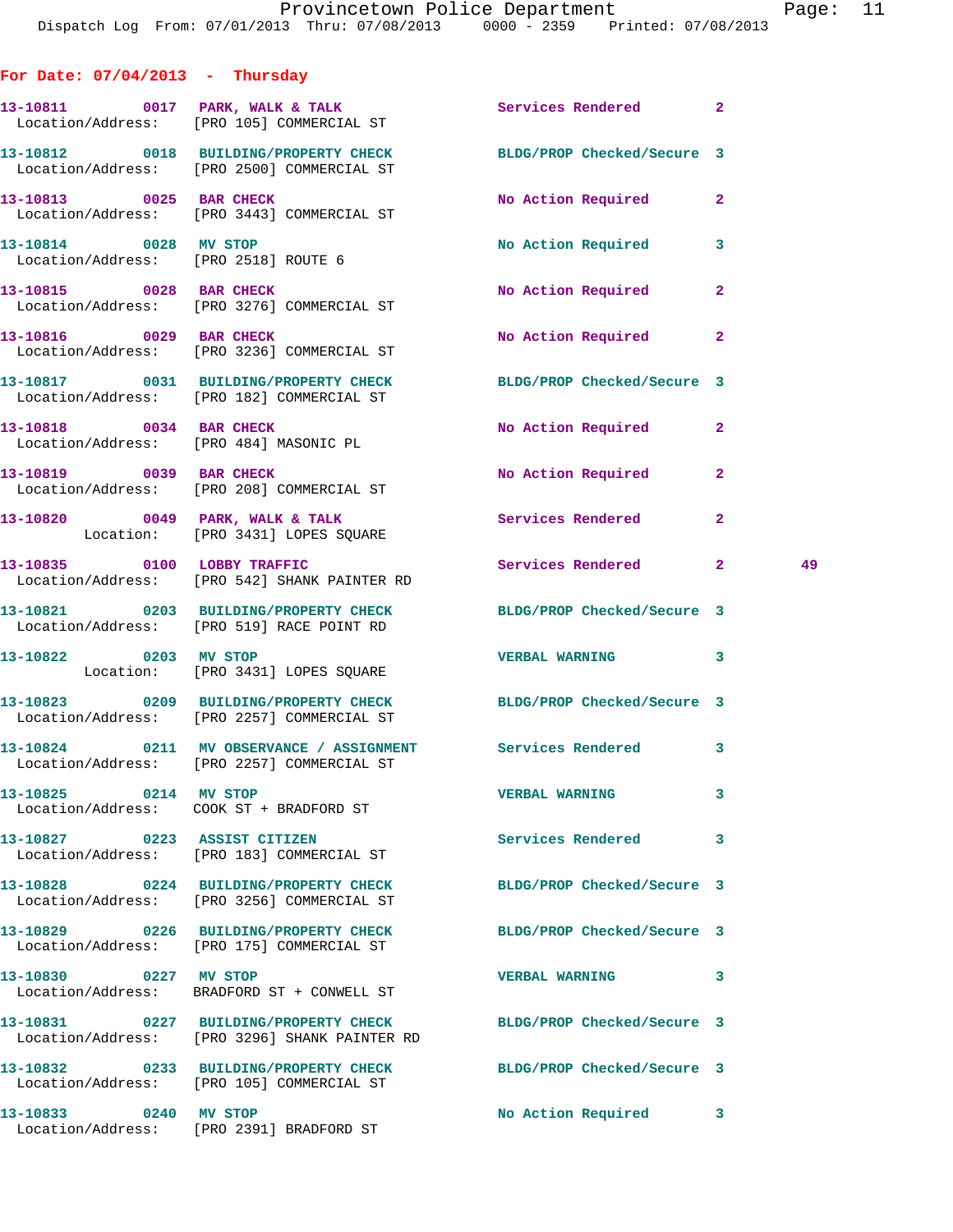| For Date: $07/04/2013$ - Thursday |                                                                                                               |                            |              |    |
|-----------------------------------|---------------------------------------------------------------------------------------------------------------|----------------------------|--------------|----|
|                                   | 13-10811 0017 PARK, WALK & TALK 3 Services Rendered 2<br>Location/Address: [PRO 105] COMMERCIAL ST            |                            |              |    |
|                                   | 13-10812 0018 BUILDING/PROPERTY CHECK<br>Location/Address: [PRO 2500] COMMERCIAL ST                           | BLDG/PROP Checked/Secure 3 |              |    |
|                                   | 13-10813 0025 BAR CHECK<br>Location/Address: [PRO 3443] COMMERCIAL ST                                         | No Action Required         | $\mathbf{2}$ |    |
| 13-10814 0028 MV STOP             | Location/Address: [PRO 2518] ROUTE 6                                                                          | No Action Required         | 3            |    |
|                                   | 13-10815 0028 BAR CHECK<br>Location/Address: [PRO 3276] COMMERCIAL ST                                         | <b>No Action Required</b>  | $\mathbf{2}$ |    |
| 13-10816 0029 BAR CHECK           | Location/Address: [PRO 3236] COMMERCIAL ST                                                                    | <b>No Action Required</b>  | $\mathbf{2}$ |    |
|                                   | 13-10817 0031 BUILDING/PROPERTY CHECK BLDG/PROP Checked/Secure 3<br>Location/Address: [PRO 182] COMMERCIAL ST |                            |              |    |
| 13-10818 0034 BAR CHECK           | Location/Address: [PRO 484] MASONIC PL                                                                        | No Action Required         | $\mathbf{2}$ |    |
|                                   | 13-10819 0039 BAR CHECK<br>Location/Address: [PRO 208] COMMERCIAL ST                                          | No Action Required         | $\mathbf{2}$ |    |
|                                   | $13-10820$ 0049 PARK, WALK & TALK<br>Location: [PRO 3431] LOPES SQUARE                                        | Services Rendered          | $\mathbf{2}$ |    |
|                                   | 13-10835 0100 LOBBY TRAFFIC<br>Location/Address: [PRO 542] SHANK PAINTER RD                                   | Services Rendered 2        |              | 49 |
|                                   | 13-10821 0203 BUILDING/PROPERTY CHECK BLDG/PROP Checked/Secure 3<br>Location/Address: [PRO 519] RACE POINT RD |                            |              |    |
|                                   | 13-10822 0203 MV STOP<br>Location: [PRO 3431] LOPES SQUARE                                                    | <b>VERBAL WARNING</b>      | 3            |    |
|                                   | 13-10823 0209 BUILDING/PROPERTY CHECK<br>Location/Address: [PRO 2257] COMMERCIAL ST                           | BLDG/PROP Checked/Secure 3 |              |    |
|                                   | 13-10824 0211 MV OBSERVANCE / ASSIGNMENT Services Rendered 3<br>Location/Address: [PRO 2257] COMMERCIAL ST    |                            |              |    |
| 13-10825 0214 MV STOP             | Location/Address: COOK ST + BRADFORD ST                                                                       | <b>VERBAL WARNING</b>      | 3            |    |
|                                   | 13-10827 0223 ASSIST CITIZEN<br>Location/Address: [PRO 183] COMMERCIAL ST                                     | Services Rendered          | 3            |    |
|                                   | 13-10828 0224 BUILDING/PROPERTY CHECK<br>Location/Address: [PRO 3256] COMMERCIAL ST                           | BLDG/PROP Checked/Secure 3 |              |    |
|                                   | 13-10829 0226 BUILDING/PROPERTY CHECK<br>Location/Address: [PRO 175] COMMERCIAL ST                            | BLDG/PROP Checked/Secure 3 |              |    |
| 13-10830 0227 MV STOP             | Location/Address: BRADFORD ST + CONWELL ST                                                                    | VERBAL WARNING             | 3            |    |
|                                   | 13-10831 0227 BUILDING/PROPERTY CHECK<br>Location/Address: [PRO 3296] SHANK PAINTER RD                        | BLDG/PROP Checked/Secure 3 |              |    |
|                                   | 13-10832 0233 BUILDING/PROPERTY CHECK BLDG/PROP Checked/Secure 3<br>Location/Address: [PRO 105] COMMERCIAL ST |                            |              |    |
| 13-10833 0240 MV STOP             | Location/Address: [PRO 2391] BRADFORD ST                                                                      | No Action Required         | 3            |    |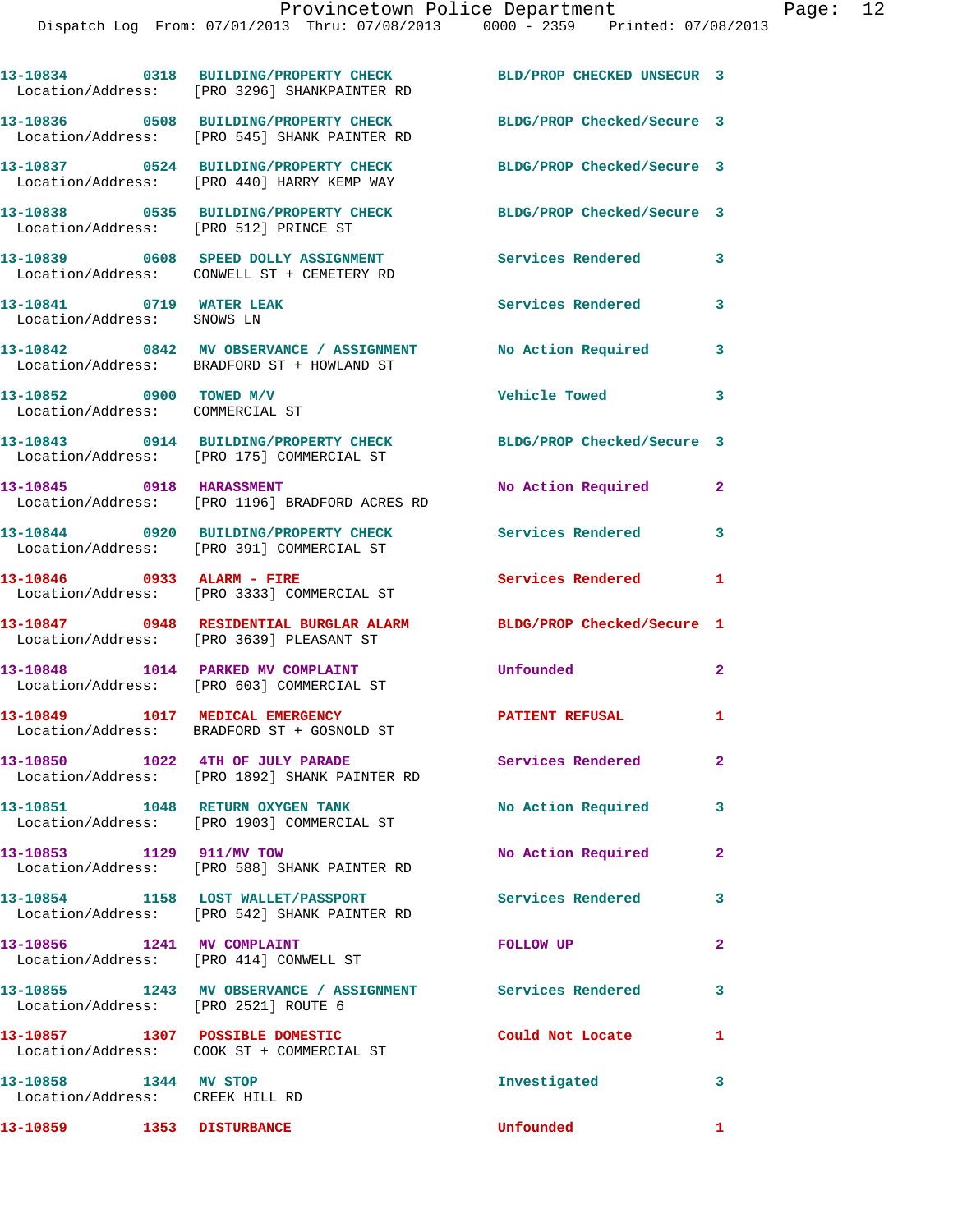|                                                                      | 13-10834 0318 BUILDING/PROPERTY CHECK<br>Location/Address: [PRO 3296] SHANKPAINTER RD                         | BLD/PROP CHECKED UNSECUR 3 |                |
|----------------------------------------------------------------------|---------------------------------------------------------------------------------------------------------------|----------------------------|----------------|
|                                                                      | 13-10836 0508 BUILDING/PROPERTY CHECK<br>Location/Address: [PRO 545] SHANK PAINTER RD                         | BLDG/PROP Checked/Secure 3 |                |
|                                                                      | 13-10837 0524 BUILDING/PROPERTY CHECK<br>Location/Address: [PRO 440] HARRY KEMP WAY                           | BLDG/PROP Checked/Secure 3 |                |
| Location/Address: [PRO 512] PRINCE ST                                | 13-10838 0535 BUILDING/PROPERTY CHECK                                                                         | BLDG/PROP Checked/Secure 3 |                |
|                                                                      | 13-10839 0608 SPEED DOLLY ASSIGNMENT<br>Location/Address: CONWELL ST + CEMETERY RD                            | Services Rendered          | $\mathbf{3}$   |
| 13-10841 0719 WATER LEAK<br>Location/Address: SNOWS LN               |                                                                                                               | Services Rendered          | 3              |
|                                                                      | 13-10842 0842 MV OBSERVANCE / ASSIGNMENT No Action Required<br>Location/Address: BRADFORD ST + HOWLAND ST     |                            | $\mathbf{3}$   |
| 13-10852 0900 TOWED M/V<br>Location/Address: COMMERCIAL ST           |                                                                                                               | Vehicle Towed              | 3              |
|                                                                      | 13-10843 0914 BUILDING/PROPERTY CHECK BLDG/PROP Checked/Secure 3<br>Location/Address: [PRO 175] COMMERCIAL ST |                            |                |
|                                                                      | 13-10845 0918 HARASSMENT<br>Location/Address: [PRO 1196] BRADFORD ACRES RD                                    | No Action Required         | $\mathbf{2}$   |
|                                                                      | 13-10844 0920 BUILDING/PROPERTY CHECK<br>Location/Address: [PRO 391] COMMERCIAL ST                            | Services Rendered          | 3              |
| 13-10846 0933 ALARM - FIRE                                           | Location/Address: [PRO 3333] COMMERCIAL ST                                                                    | Services Rendered          | 1              |
|                                                                      | 13-10847 0948 RESIDENTIAL BURGLAR ALARM<br>Location/Address: [PRO 3639] PLEASANT ST                           | BLDG/PROP Checked/Secure 1 |                |
|                                                                      | 13-10848 1014 PARKED MV COMPLAINT<br>Location/Address: [PRO 603] COMMERCIAL ST                                | Unfounded                  | $\mathbf{2}$   |
|                                                                      | 13-10849 1017 MEDICAL EMERGENCY<br>Location/Address: BRADFORD ST + GOSNOLD ST                                 | <b>PATIENT REFUSAL</b>     | 1              |
|                                                                      | 13-10850 1022 4TH OF JULY PARADE<br>Location/Address: [PRO 1892] SHANK PAINTER RD                             | Services Rendered          | $\mathbf{2}^-$ |
| 13-10851 1048 RETURN OXYGEN TANK                                     | Location/Address: [PRO 1903] COMMERCIAL ST                                                                    | No Action Required 3       |                |
| 13-10853 1129 911/MV TOW                                             | Location/Address: [PRO 588] SHANK PAINTER RD                                                                  | No Action Required         | $\mathbf{2}$   |
|                                                                      | 13-10854 1158 LOST WALLET/PASSPORT<br>Location/Address: [PRO 542] SHANK PAINTER RD                            | Services Rendered 3        |                |
| 13-10856 1241 MV COMPLAINT<br>Location/Address: [PRO 414] CONWELL ST |                                                                                                               | <b>FOLLOW UP</b>           | $\overline{2}$ |
| Location/Address: [PRO 2521] ROUTE 6                                 | 13-10855 1243 MV OBSERVANCE / ASSIGNMENT Services Rendered                                                    |                            | $\mathbf{3}$   |
|                                                                      | 13-10857 1307 POSSIBLE DOMESTIC<br>Location/Address: COOK ST + COMMERCIAL ST                                  | Could Not Locate           | 1              |
| 13-10858 1344 MV STOP<br>Location/Address: CREEK HILL RD             |                                                                                                               | Investigated               | $\mathbf{3}$   |
| 13-10859 1353 DISTURBANCE                                            |                                                                                                               | Unfounded                  | $\mathbf{1}$   |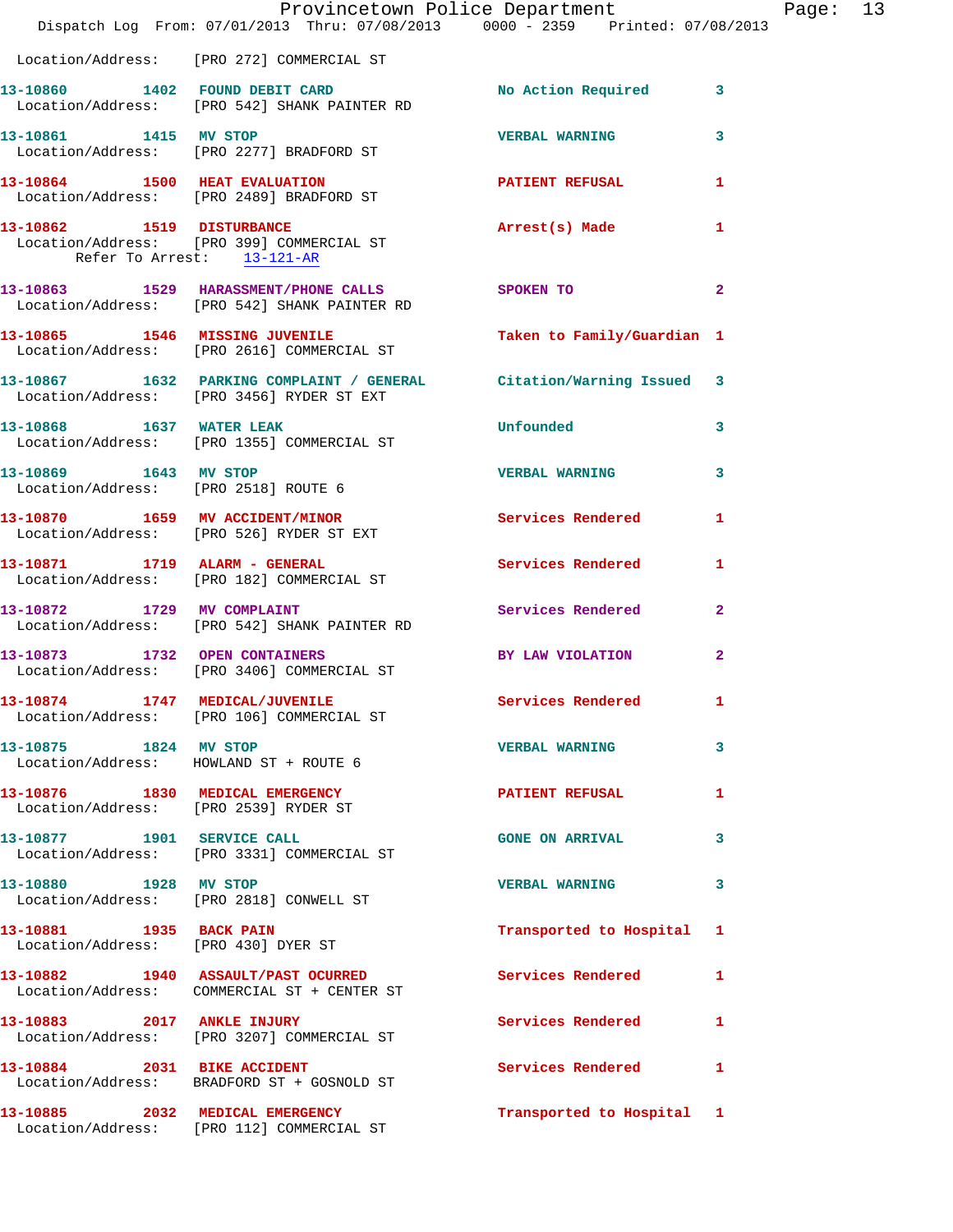|                                                                          | Provincetown Police Department<br>Dispatch Log From: 07/01/2013 Thru: 07/08/2013 0000 - 2359 Printed: 07/08/2013 |                            |                |
|--------------------------------------------------------------------------|------------------------------------------------------------------------------------------------------------------|----------------------------|----------------|
|                                                                          | Location/Address: [PRO 272] COMMERCIAL ST                                                                        |                            |                |
|                                                                          | 13-10860 1402 FOUND DEBIT CARD<br>Location/Address: [PRO 542] SHANK PAINTER RD                                   | No Action Required         | 3              |
| 13-10861 1415 MV STOP                                                    | Location/Address: [PRO 2277] BRADFORD ST                                                                         | <b>VERBAL WARNING</b>      | 3              |
|                                                                          | 13-10864 1500 HEAT EVALUATION<br>Location/Address: [PRO 2489] BRADFORD ST                                        | <b>PATIENT REFUSAL</b>     | 1              |
| Refer To Arrest: 13-121-AR                                               | 13-10862 1519 DISTURBANCE<br>Location/Address: [PRO 399] COMMERCIAL ST                                           | Arrest(s) Made             | 1              |
|                                                                          | 13-10863 1529 HARASSMENT/PHONE CALLS SPOKEN TO<br>Location/Address: [PRO 542] SHANK PAINTER RD                   |                            | $\overline{2}$ |
|                                                                          | 13-10865 1546 MISSING JUVENILE<br>Location/Address: [PRO 2616] COMMERCIAL ST                                     | Taken to Family/Guardian 1 |                |
|                                                                          | 13-10867 1632 PARKING COMPLAINT / GENERAL Citation/Warning Issued<br>Location/Address: [PRO 3456] RYDER ST EXT   |                            | 3              |
|                                                                          | 13-10868 1637 WATER LEAK<br>Location/Address: [PRO 1355] COMMERCIAL ST                                           | Unfounded                  | 3              |
| 13-10869 1643 MV STOP                                                    | Location/Address: [PRO 2518] ROUTE 6                                                                             | <b>VERBAL WARNING</b>      | 3              |
|                                                                          | 13-10870 1659 MV ACCIDENT/MINOR<br>Location/Address: [PRO 526] RYDER ST EXT                                      | <b>Services Rendered</b>   | 1              |
|                                                                          | 13-10871 1719 ALARM - GENERAL<br>Location/Address: [PRO 182] COMMERCIAL ST                                       | Services Rendered          | 1              |
|                                                                          | 13-10872 1729 MV COMPLAINT<br>Location/Address: [PRO 542] SHANK PAINTER RD                                       | <b>Services Rendered</b>   | $\overline{2}$ |
|                                                                          | 13-10873 1732 OPEN CONTAINERS<br>Location/Address: [PRO 3406] COMMERCIAL ST                                      | BY LAW VIOLATION           | $\mathbf{2}$   |
|                                                                          | 13-10874 1747 MEDICAL/JUVENILE<br>Location/Address: [PRO 106] COMMERCIAL ST                                      | Services Rendered          | $\mathbf{1}$   |
| 13-10875 1824 MV STOP                                                    | Location/Address: HOWLAND ST + ROUTE 6                                                                           | <b>VERBAL WARNING</b>      | 3              |
| 13-10876 1830 MEDICAL EMERGENCY<br>Location/Address: [PRO 2539] RYDER ST |                                                                                                                  | <b>PATIENT REFUSAL</b>     | 1              |
| 13-10877 1901 SERVICE CALL                                               | Location/Address: [PRO 3331] COMMERCIAL ST                                                                       | <b>GONE ON ARRIVAL</b>     | 3              |
| 13-10880 1928 MV STOP                                                    | Location/Address: [PRO 2818] CONWELL ST                                                                          | <b>VERBAL WARNING</b>      | 3              |
| 13-10881 1935 BACK PAIN<br>Location/Address: [PRO 430] DYER ST           |                                                                                                                  | Transported to Hospital    | 1              |
|                                                                          | 13-10882 1940 ASSAULT/PAST OCURRED<br>Location/Address: COMMERCIAL ST + CENTER ST                                | Services Rendered          | 1              |
|                                                                          | 13-10883 2017 ANKLE INJURY<br>Location/Address: [PRO 3207] COMMERCIAL ST                                         | <b>Services Rendered</b>   | 1              |
|                                                                          | 13-10884 2031 BIKE ACCIDENT<br>Location/Address: BRADFORD ST + GOSNOLD ST                                        | <b>Services Rendered</b>   | 1              |
|                                                                          | 13-10885 2032 MEDICAL EMERGENCY<br>Location/Address: [PRO 112] COMMERCIAL ST                                     | Transported to Hospital 1  |                |

Page: 13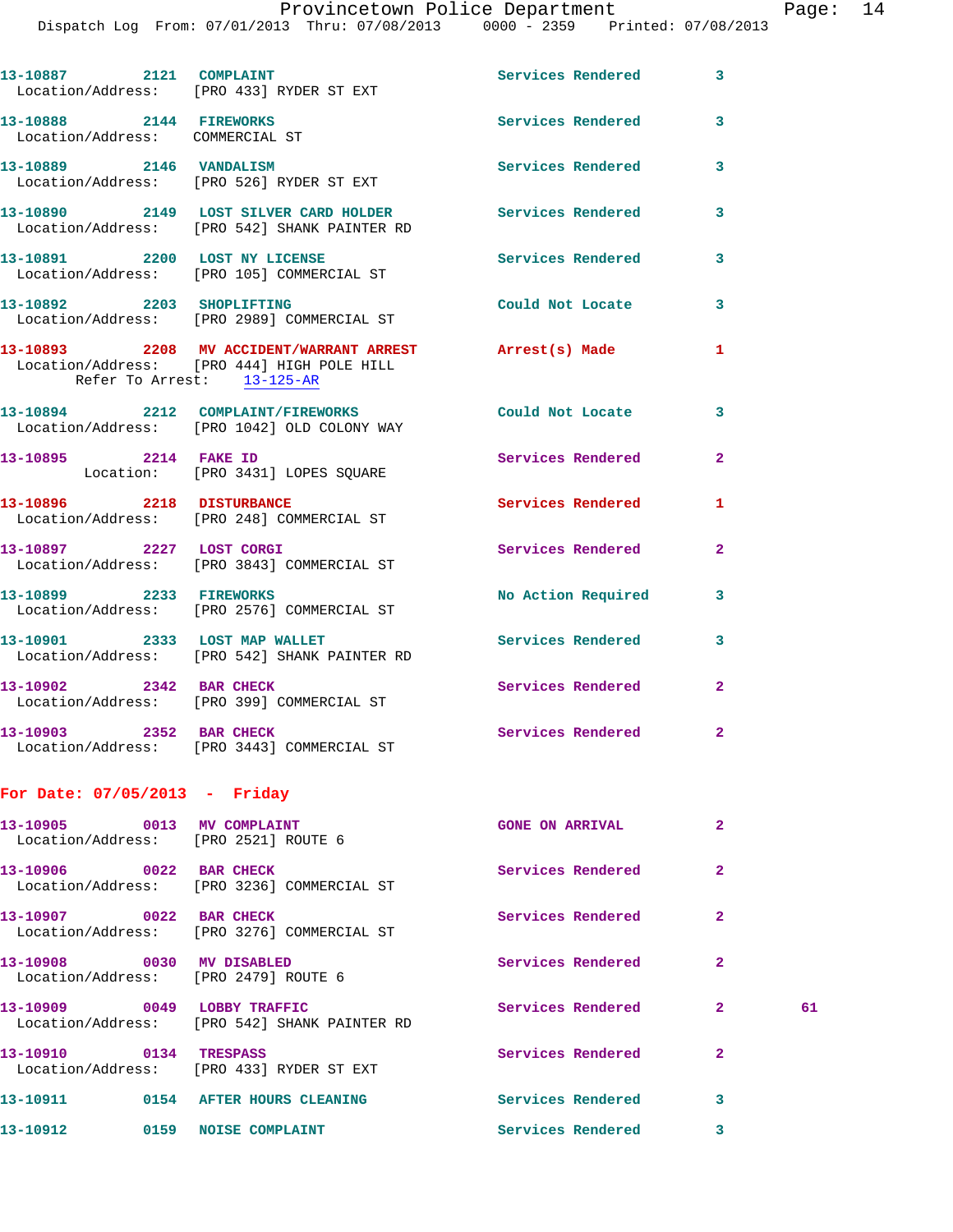Provincetown Police Department Page: 14

Dispatch Log From: 07/01/2013 Thru: 07/08/2013 0000 - 2359 Printed: 07/08/2013

|                                                            | 13-10887 2121 COMPLAINT<br>Location/Address: [PRO 433] RYDER ST EXT                                                                 | Services Rendered 3      |              |    |
|------------------------------------------------------------|-------------------------------------------------------------------------------------------------------------------------------------|--------------------------|--------------|----|
| 13-10888 2144 FIREWORKS<br>Location/Address: COMMERCIAL ST |                                                                                                                                     | Services Rendered 3      |              |    |
|                                                            | 13-10889 2146 VANDALISM<br>Location/Address: [PRO 526] RYDER ST EXT                                                                 | Services Rendered 3      |              |    |
|                                                            | 13-10890 2149 LOST SILVER CARD HOLDER<br>Location/Address: [PRO 542] SHANK PAINTER RD                                               | Services Rendered        | $\mathbf{3}$ |    |
|                                                            | 13-10891 2200 LOST NY LICENSE<br>Location/Address: [PRO 105] COMMERCIAL ST                                                          | Services Rendered        | 3            |    |
|                                                            | 13-10892 2203 SHOPLIFTING<br>Location/Address: [PRO 2989] COMMERCIAL ST                                                             | Could Not Locate 3       |              |    |
|                                                            | 13-10893 2208 MV ACCIDENT/WARRANT ARREST Arrest(s) Made<br>Location/Address: [PRO 444] HIGH POLE HILL<br>Refer To Arrest: 13-125-AR |                          | 1            |    |
|                                                            | 13-10894 2212 COMPLAINT/FIREWORKS Could Not Locate 3<br>Location/Address: [PRO 1042] OLD COLONY WAY                                 |                          |              |    |
|                                                            | 13-10895 2214 FAKE ID<br>Location: [PRO 3431] LOPES SQUARE                                                                          | Services Rendered        | $\mathbf{2}$ |    |
|                                                            | 13-10896 2218 DISTURBANCE<br>Location/Address: [PRO 248] COMMERCIAL ST                                                              | <b>Services Rendered</b> | 1            |    |
|                                                            | 13-10897 2227 LOST CORGI<br>Location/Address: [PRO 3843] COMMERCIAL ST                                                              | Services Rendered        | $\mathbf{2}$ |    |
| 13-10899 2233 FIREWORKS                                    | Location/Address: [PRO 2576] COMMERCIAL ST                                                                                          | No Action Required       | 3            |    |
|                                                            | 13-10901 2333 LOST MAP WALLET<br>Location/Address: [PRO 542] SHANK PAINTER RD                                                       | <b>Services Rendered</b> | 3            |    |
| 13-10902 2342 BAR CHECK                                    | Location/Address: [PRO 399] COMMERCIAL ST                                                                                           | Services Rendered        | $\mathbf{2}$ |    |
| 13-10903 2352 BAR CHECK                                    | Location/Address: [PRO 3443] COMMERCIAL ST                                                                                          | Services Rendered 2      |              |    |
| For Date: 07/05/2013 - Friday                              |                                                                                                                                     |                          |              |    |
|                                                            | 13-10905 0013 MV COMPLAINT<br>Location/Address: [PRO 2521] ROUTE 6                                                                  | <b>GONE ON ARRIVAL</b>   | $\mathbf{2}$ |    |
| 13-10906 0022 BAR CHECK                                    | Location/Address: [PRO 3236] COMMERCIAL ST                                                                                          | Services Rendered        | $\mathbf{2}$ |    |
| 13-10907 0022 BAR CHECK                                    | Location/Address: [PRO 3276] COMMERCIAL ST                                                                                          | Services Rendered        | $\mathbf{2}$ |    |
| 13-10908 0030 MV DISABLED                                  | Location/Address: [PRO 2479] ROUTE 6                                                                                                | Services Rendered        | $\mathbf{2}$ |    |
|                                                            | 13-10909 0049 LOBBY TRAFFIC<br>Location/Address: [PRO 542] SHANK PAINTER RD                                                         | Services Rendered        | $\mathbf{2}$ | 61 |
| 13-10910 0134 TRESPASS                                     | Location/Address: [PRO 433] RYDER ST EXT                                                                                            | Services Rendered        | $\mathbf{2}$ |    |
|                                                            |                                                                                                                                     | Services Rendered 3      |              |    |
|                                                            | 13-10912 0159 NOISE COMPLAINT                                                                                                       | Services Rendered        | 3            |    |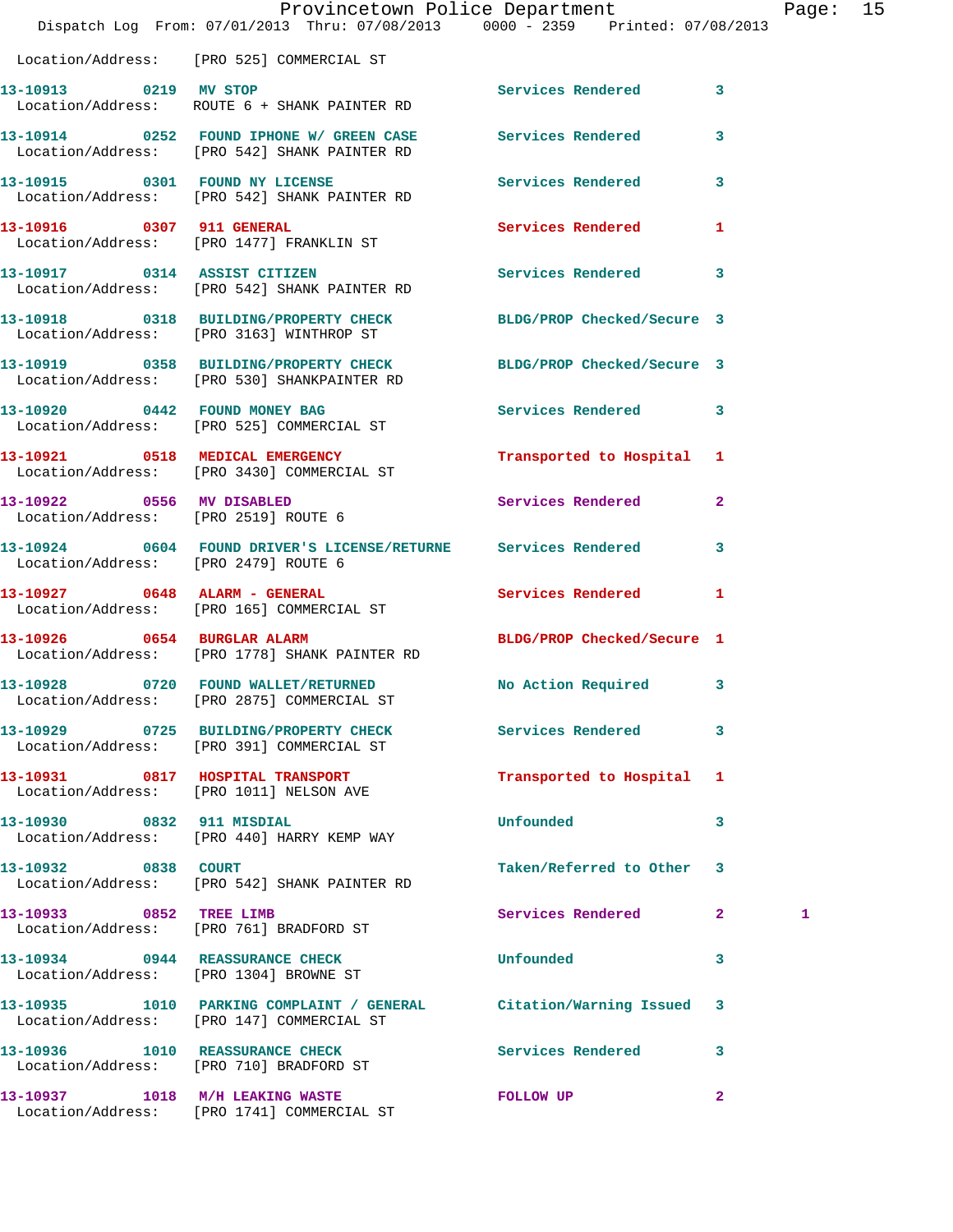|                                      | Provincetown Police Department<br>Dispatch Log From: 07/01/2013 Thru: 07/08/2013 0000 - 2359 Printed: 07/08/2013 |                            |              | Page: 15 |  |
|--------------------------------------|------------------------------------------------------------------------------------------------------------------|----------------------------|--------------|----------|--|
|                                      | Location/Address: [PRO 525] COMMERCIAL ST                                                                        |                            |              |          |  |
|                                      | 13-10913 0219 MV STOP<br>Location/Address: ROUTE 6 + SHANK PAINTER RD                                            | Services Rendered 3        |              |          |  |
|                                      | 13-10914 0252 FOUND IPHONE W/ GREEN CASE Services Rendered 3<br>Location/Address: [PRO 542] SHANK PAINTER RD     |                            |              |          |  |
|                                      | 13-10915 0301 FOUND NY LICENSE<br>Location/Address: [PRO 542] SHANK PAINTER RD                                   | Services Rendered 3        |              |          |  |
|                                      | 13-10916 0307 911 GENERAL<br>Location/Address: [PRO 1477] FRANKLIN ST                                            | Services Rendered 1        |              |          |  |
|                                      | 13-10917 0314 ASSIST CITIZEN<br>Location/Address: [PRO 542] SHANK PAINTER RD                                     | Services Rendered 3        |              |          |  |
|                                      | 13-10918 0318 BUILDING/PROPERTY CHECK BLDG/PROP Checked/Secure 3<br>Location/Address: [PRO 3163] WINTHROP ST     |                            |              |          |  |
|                                      | 13-10919 0358 BUILDING/PROPERTY CHECK BLDG/PROP Checked/Secure 3<br>Location/Address: [PRO 530] SHANKPAINTER RD  |                            |              |          |  |
|                                      | 13-10920 0442 FOUND MONEY BAG<br>Location/Address: [PRO 525] COMMERCIAL ST                                       | Services Rendered 3        |              |          |  |
|                                      | 13-10921 0518 MEDICAL EMERGENCY<br>Location/Address: [PRO 3430] COMMERCIAL ST                                    | Transported to Hospital 1  |              |          |  |
| Location/Address: [PRO 2519] ROUTE 6 | 13-10922 0556 MV DISABLED                                                                                        | Services Rendered 2        |              |          |  |
| Location/Address: [PRO 2479] ROUTE 6 | 13-10924 0604 FOUND DRIVER'S LICENSE/RETURNE Services Rendered 3                                                 |                            |              |          |  |
|                                      | 13-10927 0648 ALARM - GENERAL<br>Location/Address: [PRO 165] COMMERCIAL ST                                       | Services Rendered 1        |              |          |  |
| 13-10926 0654 BURGLAR ALARM          | Location/Address: [PRO 1778] SHANK PAINTER RD                                                                    | BLDG/PROP Checked/Secure 1 |              |          |  |
|                                      | Location/Address: [PRO 2875] COMMERCIAL ST                                                                       | No Action Required         | 3            |          |  |
|                                      | 13-10929 0725 BUILDING/PROPERTY CHECK Services Rendered 3<br>Location/Address: [PRO 391] COMMERCIAL ST           |                            |              |          |  |
|                                      | 13-10931 0817 HOSPITAL TRANSPORT<br>Location/Address: [PRO 1011] NELSON AVE                                      | Transported to Hospital 1  |              |          |  |
| 13-10930 0832 911 MISDIAL            | Location/Address: [PRO 440] HARRY KEMP WAY                                                                       | Unfounded                  | 3            |          |  |
| 13-10932 0838 COURT                  | Location/Address: [PRO 542] SHANK PAINTER RD                                                                     | Taken/Referred to Other 3  |              |          |  |
| 13-10933 0852 TREE LIMB              | Location/Address: [PRO 761] BRADFORD ST                                                                          | Services Rendered 2        |              | 1        |  |
|                                      | 13-10934 0944 REASSURANCE CHECK<br>Location/Address: [PRO 1304] BROWNE ST                                        | <b>Unfounded</b>           | 3            |          |  |
|                                      | 13-10935 1010 PARKING COMPLAINT / GENERAL Citation/Warning Issued 3<br>Location/Address: [PRO 147] COMMERCIAL ST |                            |              |          |  |
|                                      | 13-10936 1010 REASSURANCE CHECK<br>Location/Address: [PRO 710] BRADFORD ST                                       | Services Rendered          | 3            |          |  |
| 13-10937 1018 M/H LEAKING WASTE      | Location/Address: [PRO 1741] COMMERCIAL ST                                                                       | FOLLOW UP                  | $\mathbf{2}$ |          |  |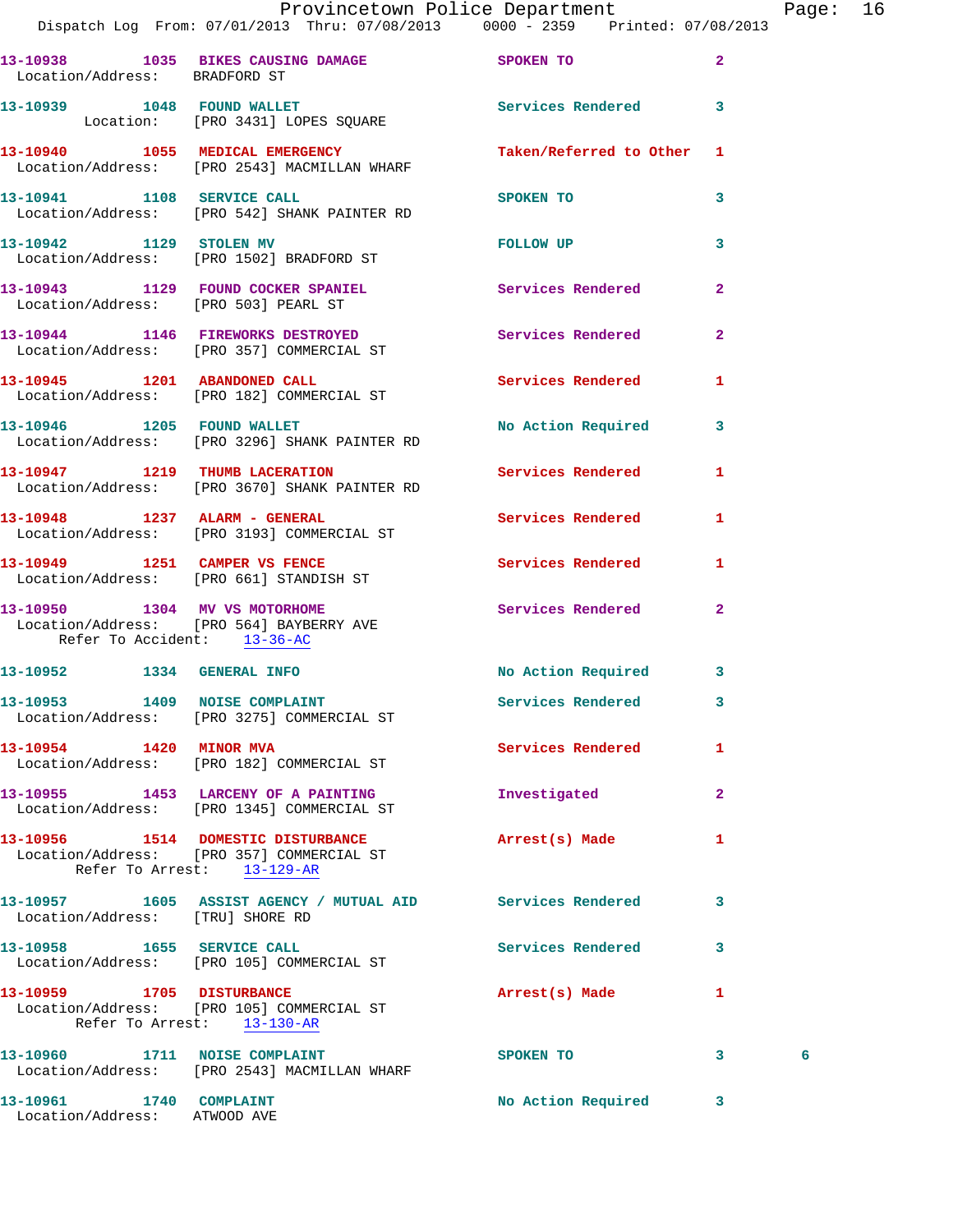|                               | Provincetown Police Department<br>Dispatch Log From: 07/01/2013 Thru: 07/08/2013 0000 - 2359 Printed: 07/08/2013 |                                                                                                               |                | Page: 16 |  |
|-------------------------------|------------------------------------------------------------------------------------------------------------------|---------------------------------------------------------------------------------------------------------------|----------------|----------|--|
| Location/Address: BRADFORD ST | 13-10938 1035 BIKES CAUSING DAMAGE SPOKEN TO                                                                     |                                                                                                               | $\overline{2}$ |          |  |
|                               | 13-10939 1048 FOUND WALLET Services Rendered 3<br>Location: [PRO 3431] LOPES SQUARE                              |                                                                                                               |                |          |  |
|                               | 13-10940 1055 MEDICAL EMERGENCY<br>Location/Address: [PRO 2543] MACMILLAN WHARF                                  | Taken/Referred to Other 1                                                                                     |                |          |  |
|                               | 13-10941 1108 SERVICE CALL<br>Location/Address: [PRO 542] SHANK PAINTER RD                                       | SPOKEN TO AND TO A STATE OF THE STATE OF THE STATE OF THE STATE OF THE STATE OF THE STATE OF THE STATE OF THE | 3              |          |  |
|                               | 13-10942 1129 STOLEN MV<br>Location/Address: [PRO 1502] BRADFORD ST                                              | FOLLOW UP                                                                                                     | 3              |          |  |
|                               | 13-10943 1129 FOUND COCKER SPANIEL Services Rendered<br>Location/Address: [PRO 503] PEARL ST                     |                                                                                                               | $\overline{2}$ |          |  |
|                               | 13-10944 1146 FIREWORKS DESTROYED Services Rendered<br>Location/Address: [PRO 357] COMMERCIAL ST                 |                                                                                                               | $\overline{2}$ |          |  |
|                               | 13-10945 1201 ABANDONED CALL<br>Location/Address: [PRO 182] COMMERCIAL ST                                        | Services Rendered                                                                                             | $\mathbf{1}$   |          |  |
|                               | 13-10946 1205 FOUND WALLET<br>Location/Address: [PRO 3296] SHANK PAINTER RD                                      | No Action Required 3                                                                                          |                |          |  |
|                               | 13-10947 1219 THUMB LACERATION<br>Location/Address: [PRO 3670] SHANK PAINTER RD                                  | Services Rendered                                                                                             | 1              |          |  |
|                               |                                                                                                                  | Services Rendered                                                                                             | $\mathbf{1}$   |          |  |
|                               | 13-10949 1251 CAMPER VS FENCE<br>Location/Address: [PRO 661] STANDISH ST                                         | Services Rendered                                                                                             | 1              |          |  |
| Refer To Accident: 13-36-AC   | 13-10950 1304 MV VS MOTORHOME<br>Location/Address: [PRO 564] BAYBERRY AVE                                        | Services Rendered 2                                                                                           |                |          |  |
|                               |                                                                                                                  |                                                                                                               |                |          |  |

| 13-10952                              | 1334 | <b>GENERAL INFO</b>                                | No Action Required |  |
|---------------------------------------|------|----------------------------------------------------|--------------------|--|
| 13-10953<br>1409<br>Location/Address: |      | <b>NOISE COMPLAINT</b><br>[PRO 3275] COMMERCIAL ST | Services Rendered  |  |
| 13-10954<br>Location/Address:         | 1420 | <b>MINOR MVA</b><br>[PRO 182] COMMERCIAL ST        | Services Rendered  |  |
| 13-10955                              | 1453 | LARCENY OF A PAINTING                              | Investigated       |  |

 Location/Address: [PRO 1345] COMMERCIAL ST **13-10956 1514 DOMESTIC DISTURBANCE Arrest(s) Made 1**  Location/Address: [PRO 357] COMMERCIAL ST Refer To Arrest: 13-129-AR **13-10957 1605 ASSIST AGENCY / MUTUAL AID Services Rendered 3**  Location/Address: [TRU] SHORE RD **13-10958 1655 SERVICE CALL Services Rendered 3**  Location/Address: [PRO 105] COMMERCIAL ST

**13-10959 1705 DISTURBANCE Arrest(s) Made 1**  Location/Address: [PRO 105] COMMERCIAL ST Refer To Arrest: 13-130-AR **13-10960 1711 NOISE COMPLAINT SPOKEN TO 3 6**  Location/Address: [PRO 2543] MACMILLAN WHARF

**13-10961 1740 COMPLAINT No Action Required 3**  Location/Address: ATWOOD AVE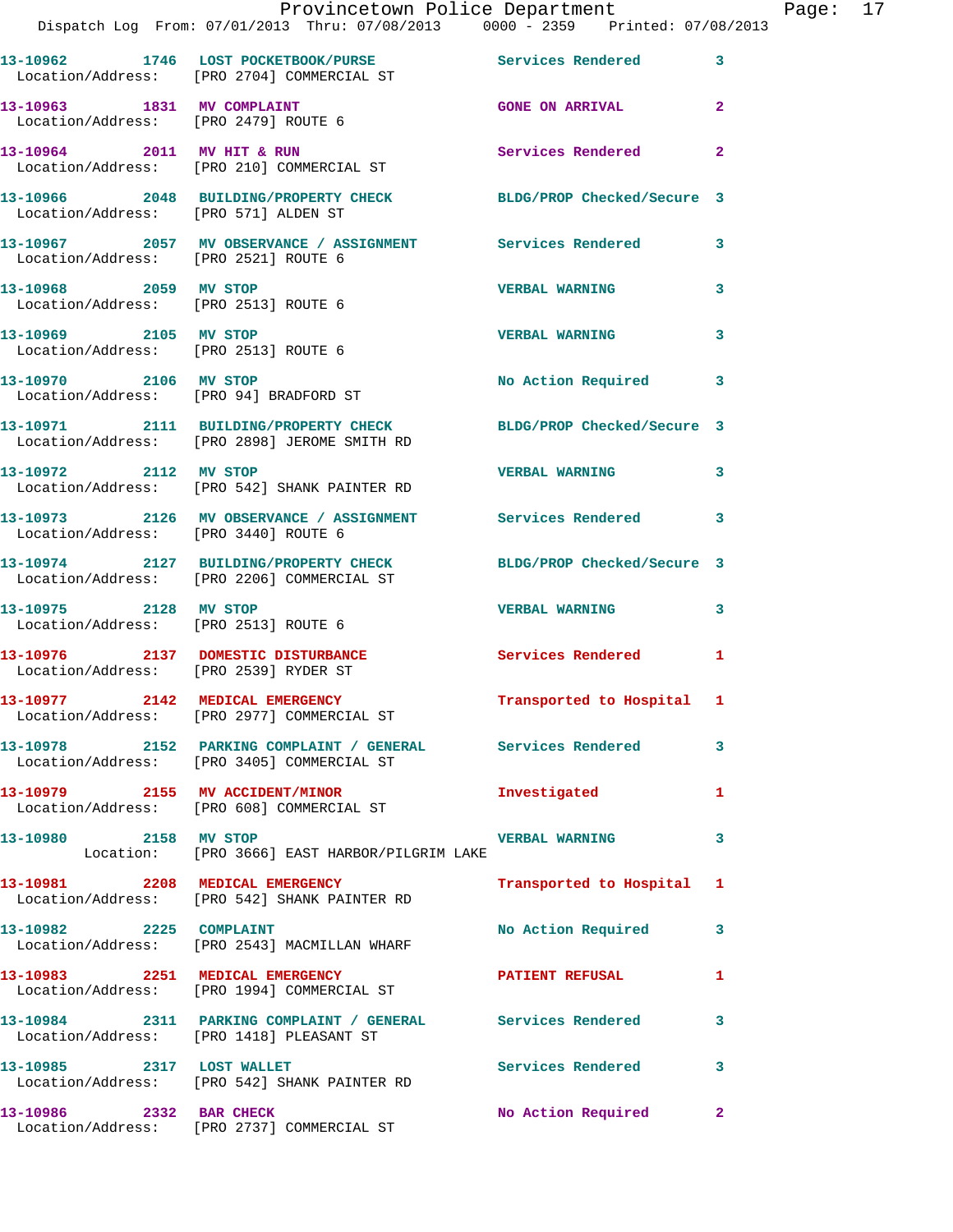|                           | Provincetown Police Department Fage: 17<br>Dispatch Log From: 07/01/2013 Thru: 07/08/2013 0000 - 2359 Printed: 07/08/2013 |                           |              |  |
|---------------------------|---------------------------------------------------------------------------------------------------------------------------|---------------------------|--------------|--|
|                           | 13-10962 1746 LOST POCKETBOOK/PURSE Services Rendered 3<br>Location/Address: [PRO 2704] COMMERCIAL ST                     |                           |              |  |
|                           | 13-10963 1831 MV COMPLAINT<br>Location/Address: [PRO 2479] ROUTE 6                                                        | <b>GONE ON ARRIVAL</b>    | $\mathbf{2}$ |  |
|                           | 13-10964 2011 MV HIT & RUN<br>Location/Address: [PRO 210] COMMERCIAL ST                                                   | Services Rendered         | $\mathbf{2}$ |  |
|                           | 13-10966 2048 BUILDING/PROPERTY CHECK BLDG/PROP Checked/Secure 3<br>Location/Address: [PRO 571] ALDEN ST                  |                           |              |  |
|                           |                                                                                                                           |                           |              |  |
|                           | 13-10968 2059 MV STOP<br>Location/Address: [PRO 2513] ROUTE 6                                                             | <b>VERBAL WARNING</b>     | 3            |  |
|                           | 13-10969 2105 MV STOP<br>Location/Address: [PRO 2513] ROUTE 6                                                             | <b>VERBAL WARNING</b>     | 3            |  |
|                           | 13-10970 2106 MV STOP<br>Location/Address: [PRO 94] BRADFORD ST                                                           | No Action Required        | 3            |  |
|                           | 13-10971 2111 BUILDING/PROPERTY CHECK BLDG/PROP Checked/Secure 3<br>Location/Address: [PRO 2898] JEROME SMITH RD          |                           |              |  |
|                           | 13-10972 2112 MV STOP<br>Location/Address: [PRO 542] SHANK PAINTER RD                                                     | <b>VERBAL WARNING</b>     | 3            |  |
|                           | 13-10973 2126 MV OBSERVANCE / ASSIGNMENT Services Rendered 3<br>Location/Address: [PRO 3440] ROUTE 6                      |                           |              |  |
|                           | 13-10974 2127 BUILDING/PROPERTY CHECK BLDG/PROP Checked/Secure 3<br>Location/Address: [PRO 2206] COMMERCIAL ST            |                           |              |  |
| 13-10975 2128 MV STOP     | Location/Address: [PRO 2513] ROUTE 6                                                                                      | <b>VERBAL WARNING</b>     | 3            |  |
|                           |                                                                                                                           | Services Rendered 1       |              |  |
|                           | 13-10977 2142 MEDICAL EMERGENCY<br>Location/Address: [PRO 2977] COMMERCIAL ST                                             | Transported to Hospital 1 |              |  |
|                           | 13-10978 2152 PARKING COMPLAINT / GENERAL Services Rendered<br>Location/Address: [PRO 3405] COMMERCIAL ST                 |                           | 3            |  |
|                           | 13-10979 2155 MV ACCIDENT/MINOR<br>Location/Address: [PRO 608] COMMERCIAL ST                                              | Investigated              | 1            |  |
|                           | 13-10980 2158 MV STOP 2008 2009 2009 2010 VERBAL WARNING<br>Location: [PRO 3666] EAST HARBOR/PILGRIM LAKE                 |                           | 3            |  |
|                           | 13-10981 2208 MEDICAL EMERGENCY<br>Location/Address: [PRO 542] SHANK PAINTER RD                                           | Transported to Hospital 1 |              |  |
|                           | 13-10982 2225 COMPLAINT<br>Location/Address: [PRO 2543] MACMILLAN WHARF                                                   | No Action Required        | 3            |  |
|                           | 13-10983 2251 MEDICAL EMERGENCY PATIENT REFUSAL<br>Location/Address: [PRO 1994] COMMERCIAL ST                             |                           | 1            |  |
|                           | 13-10984 2311 PARKING COMPLAINT / GENERAL Services Rendered<br>Location/Address: [PRO 1418] PLEASANT ST                   |                           | 3            |  |
| 13-10985 2317 LOST WALLET | Location/Address: [PRO 542] SHANK PAINTER RD                                                                              | Services Rendered         | 3            |  |
| 13-10986 2332 BAR CHECK   |                                                                                                                           | No Action Required        | $\mathbf{2}$ |  |

Location/Address: [PRO 2737] COMMERCIAL ST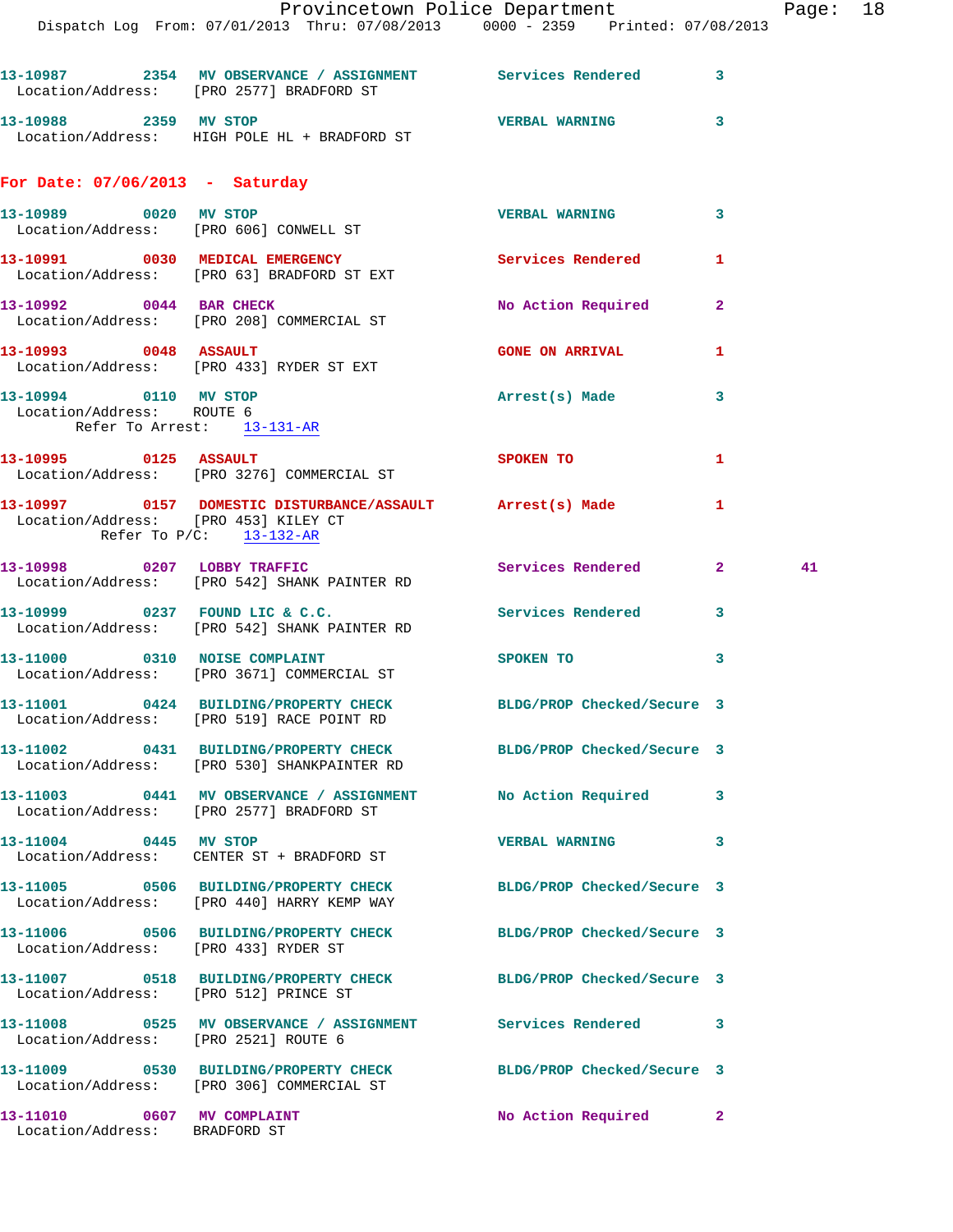|                                                             | 13-10987 2354 MV OBSERVANCE / ASSIGNMENT Services Rendered<br>Location/Address: [PRO 2577] BRADFORD ST        |                            | 3              |    |
|-------------------------------------------------------------|---------------------------------------------------------------------------------------------------------------|----------------------------|----------------|----|
| 13-10988 2359 MV STOP                                       | Location/Address: HIGH POLE HL + BRADFORD ST                                                                  | <b>VERBAL WARNING</b>      | 3              |    |
| For Date: $07/06/2013$ - Saturday                           |                                                                                                               |                            |                |    |
|                                                             | 13-10989 0020 MV STOP<br>Location/Address: [PRO 606] CONWELL ST                                               | <b>VERBAL WARNING</b>      | 3              |    |
|                                                             | 13-10991 0030 MEDICAL EMERGENCY<br>Location/Address: [PRO 63] BRADFORD ST EXT                                 | <b>Services Rendered</b>   | 1              |    |
|                                                             | 13-10992 0044 BAR CHECK<br>Location/Address: [PRO 208] COMMERCIAL ST                                          | No Action Required         | $\overline{a}$ |    |
| 13-10993 0048 ASSAULT                                       | Location/Address: [PRO 433] RYDER ST EXT                                                                      | <b>GONE ON ARRIVAL</b>     | 1              |    |
| 13-10994 0110 MV STOP<br>Location/Address: ROUTE 6          | Refer To Arrest: 13-131-AR                                                                                    | Arrest(s) Made             | 3              |    |
| 13-10995 0125 ASSAULT                                       | Location/Address: [PRO 3276] COMMERCIAL ST                                                                    | <b>SPOKEN TO</b>           | 1              |    |
| Location/Address: [PRO 453] KILEY CT                        | 13-10997 0157 DOMESTIC DISTURBANCE/ASSAULT Arrest(s) Made<br>Refer To $P/C$ : 13-132-AR                       |                            | 1              |    |
|                                                             | 13-10998 0207 LOBBY TRAFFIC<br>Location/Address: [PRO 542] SHANK PAINTER RD                                   | Services Rendered          | $\mathbf{2}$   | 41 |
|                                                             | 13-10999 0237 FOUND LIC & C.C.<br>Location/Address: [PRO 542] SHANK PAINTER RD                                | Services Rendered          | 3              |    |
|                                                             | 13-11000 0310 NOISE COMPLAINT<br>Location/Address: [PRO 3671] COMMERCIAL ST                                   | SPOKEN TO                  | 3              |    |
|                                                             | 13-11001 0424 BUILDING/PROPERTY CHECK BLDG/PROP Checked/Secure 3<br>Location/Address: [PRO 519] RACE POINT RD |                            |                |    |
| 13-11002                                                    | 0431 BUILDING/PROPERTY CHECK<br>Location/Address: [PRO 530] SHANKPAINTER RD                                   | BLDG/PROP Checked/Secure 3 |                |    |
|                                                             | 13-11003 0441 MV OBSERVANCE / ASSIGNMENT No Action Required<br>Location/Address: [PRO 2577] BRADFORD ST       |                            | 3              |    |
| 13-11004 0445 MV STOP                                       | Location/Address: CENTER ST + BRADFORD ST                                                                     | <b>VERBAL WARNING</b>      | 3              |    |
|                                                             | 13-11005 0506 BUILDING/PROPERTY CHECK<br>Location/Address: [PRO 440] HARRY KEMP WAY                           | BLDG/PROP Checked/Secure 3 |                |    |
| Location/Address: [PRO 433] RYDER ST                        | 13-11006 0506 BUILDING/PROPERTY CHECK                                                                         | BLDG/PROP Checked/Secure 3 |                |    |
| Location/Address: [PRO 512] PRINCE ST                       | 13-11007 0518 BUILDING/PROPERTY CHECK BLDG/PROP Checked/Secure 3                                              |                            |                |    |
| Location/Address: [PRO 2521] ROUTE 6                        | 13-11008 0525 MV OBSERVANCE / ASSIGNMENT Services Rendered                                                    |                            | 3              |    |
|                                                             | 13-11009 0530 BUILDING/PROPERTY CHECK BLDG/PROP Checked/Secure 3<br>Location/Address: [PRO 306] COMMERCIAL ST |                            |                |    |
| 13-11010 0607 MV COMPLAINT<br>Location/Address: BRADFORD ST |                                                                                                               | No Action Required         | $\mathbf{2}$   |    |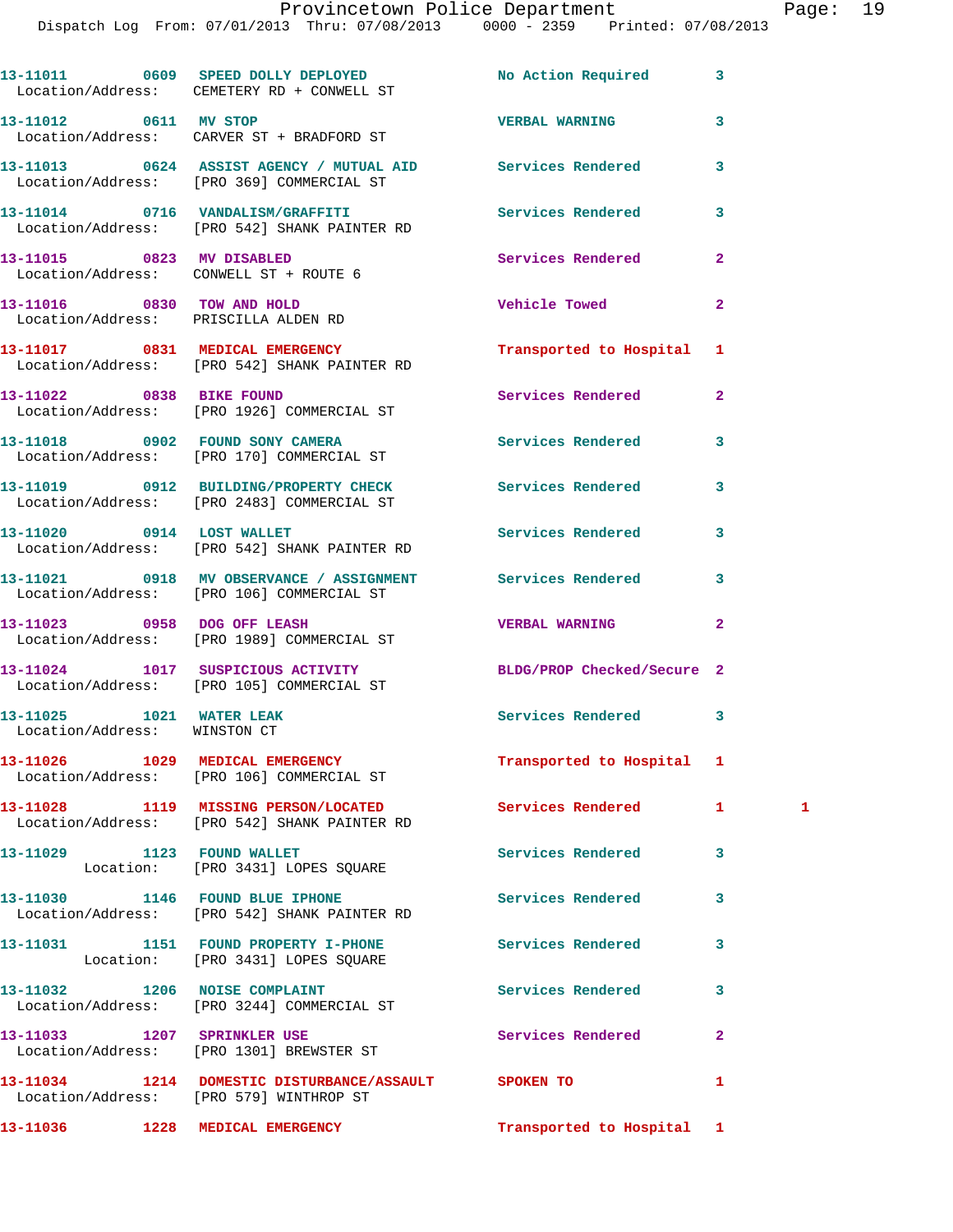|                                                                     | 13-11011 0609 SPEED DOLLY DEPLOYED<br>Location/Address: CEMETERY RD + CONWELL ST                        | No Action Required         | 3              |              |
|---------------------------------------------------------------------|---------------------------------------------------------------------------------------------------------|----------------------------|----------------|--------------|
| 13-11012 0611 MV STOP                                               | Location/Address: CARVER ST + BRADFORD ST                                                               | <b>VERBAL WARNING</b>      | 3              |              |
|                                                                     | 13-11013 0624 ASSIST AGENCY / MUTUAL AID Services Rendered<br>Location/Address: [PRO 369] COMMERCIAL ST |                            | 3              |              |
|                                                                     | 13-11014 0716 VANDALISM/GRAFFITI<br>Location/Address: [PRO 542] SHANK PAINTER RD                        | <b>Services Rendered</b>   | 3              |              |
| 13-11015 0823 MV DISABLED<br>Location/Address: CONWELL ST + ROUTE 6 |                                                                                                         | Services Rendered          | $\mathbf{2}$   |              |
| Location/Address: PRISCILLA ALDEN RD                                | 13-11016 0830 TOW AND HOLD                                                                              | <b>Vehicle Towed</b>       | $\mathbf{2}$   |              |
|                                                                     | 13-11017 0831 MEDICAL EMERGENCY<br>Location/Address: [PRO 542] SHANK PAINTER RD                         | Transported to Hospital 1  |                |              |
|                                                                     | 13-11022 0838 BIKE FOUND<br>Location/Address: [PRO 1926] COMMERCIAL ST                                  | Services Rendered          | $\overline{2}$ |              |
|                                                                     | 13-11018 0902 FOUND SONY CAMERA<br>Location/Address: [PRO 170] COMMERCIAL ST                            | Services Rendered          | 3              |              |
|                                                                     | 13-11019 0912 BUILDING/PROPERTY CHECK Services Rendered<br>Location/Address: [PRO 2483] COMMERCIAL ST   |                            | 3              |              |
| 13-11020 0914 LOST WALLET                                           | Location/Address: [PRO 542] SHANK PAINTER RD                                                            | Services Rendered          | 3              |              |
|                                                                     | 13-11021 0918 MV OBSERVANCE / ASSIGNMENT Services Rendered<br>Location/Address: [PRO 106] COMMERCIAL ST |                            | 3              |              |
| 13-11023 0958 DOG OFF LEASH                                         | Location/Address: [PRO 1989] COMMERCIAL ST                                                              | <b>VERBAL WARNING</b>      | $\overline{2}$ |              |
|                                                                     | 13-11024 1017 SUSPICIOUS ACTIVITY<br>Location/Address: [PRO 105] COMMERCIAL ST                          | BLDG/PROP Checked/Secure 2 |                |              |
| 13-11025 1021 WATER LEAK<br>Location/Address: WINSTON CT            |                                                                                                         | Services Rendered          | 3              |              |
|                                                                     | 13-11026 1029 MEDICAL EMERGENCY<br>Location/Address: [PRO 106] COMMERCIAL ST                            | Transported to Hospital 1  |                |              |
|                                                                     | 13-11028 1119 MISSING PERSON/LOCATED Services Rendered<br>Location/Address: [PRO 542] SHANK PAINTER RD  |                            | $\mathbf{1}$   | $\mathbf{1}$ |
| 13-11029 1123 FOUND WALLET                                          | Location: [PRO 3431] LOPES SQUARE                                                                       | <b>Services Rendered</b>   | 3              |              |
|                                                                     | 13-11030 1146 FOUND BLUE IPHONE<br>Location/Address: [PRO 542] SHANK PAINTER RD                         | <b>Services Rendered</b>   | 3              |              |
|                                                                     | 13-11031 1151 FOUND PROPERTY I-PHONE<br>Location: [PRO 3431] LOPES SQUARE                               | Services Rendered          | 3              |              |
| 13-11032 1206 NOISE COMPLAINT                                       | Location/Address: [PRO 3244] COMMERCIAL ST                                                              | Services Rendered          | 3              |              |
|                                                                     | 13-11033 1207 SPRINKLER USE<br>Location/Address: [PRO 1301] BREWSTER ST                                 | Services Rendered          | $\overline{2}$ |              |
|                                                                     | 13-11034 1214 DOMESTIC DISTURBANCE/ASSAULT SPOKEN TO<br>Location/Address: [PRO 579] WINTHROP ST         |                            | 1              |              |
|                                                                     | 13-11036    1228    MEDICAL EMERGENCY                                                                   | Transported to Hospital 1  |                |              |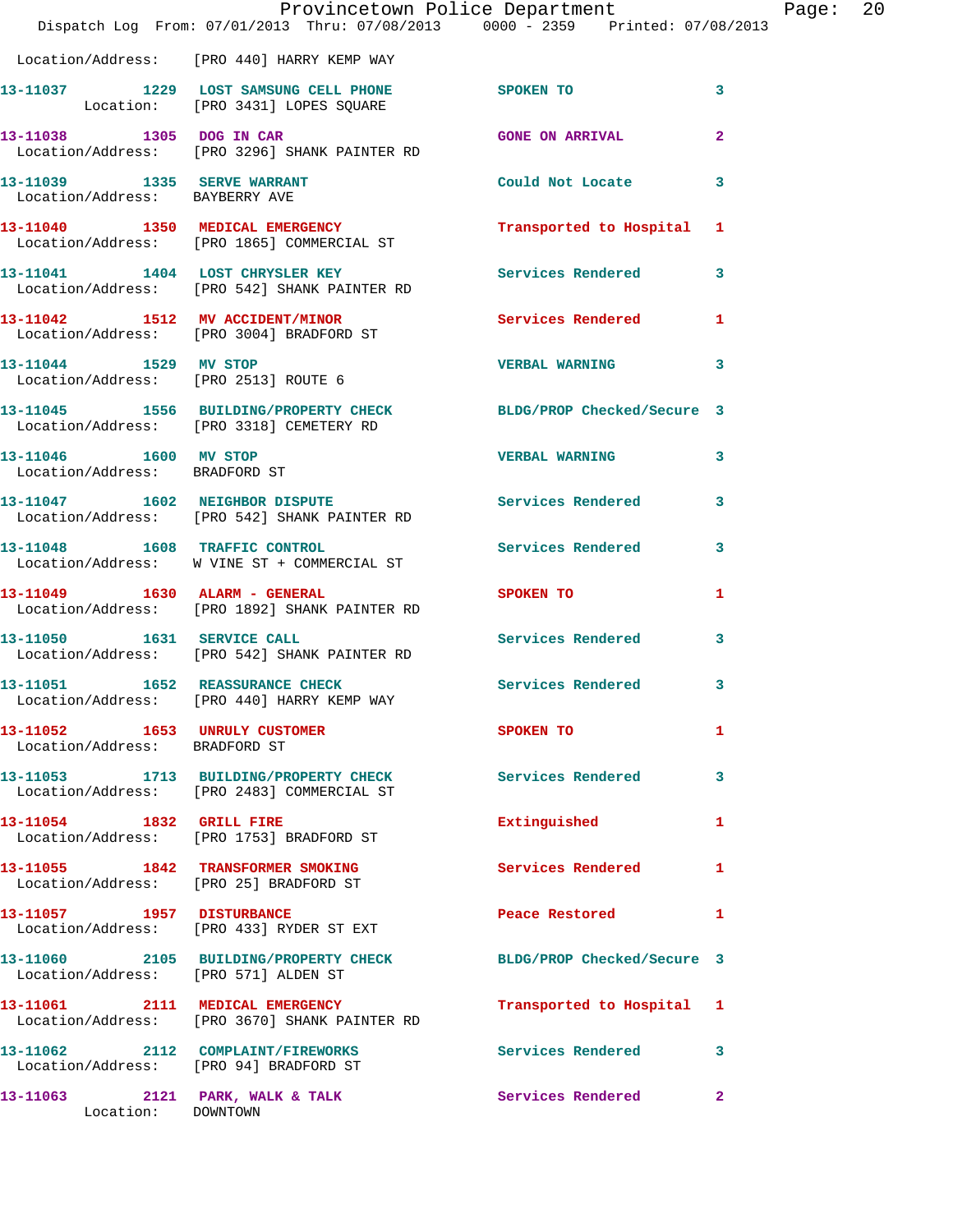|                                                               | Dispatch Log From: 07/01/2013 Thru: 07/08/2013 0000 - 2359 Printed: 07/08/2013                               | Provincetown Police Department                                                                                 |                | Page: 20 |  |
|---------------------------------------------------------------|--------------------------------------------------------------------------------------------------------------|----------------------------------------------------------------------------------------------------------------|----------------|----------|--|
|                                                               | Location/Address: [PRO 440] HARRY KEMP WAY                                                                   |                                                                                                                |                |          |  |
|                                                               | 13-11037 1229 LOST SAMSUNG CELL PHONE SPOKEN TO<br>Location: [PRO 3431] LOPES SQUARE                         |                                                                                                                | $\mathbf{3}$   |          |  |
|                                                               | 13-11038 1305 DOG IN CAR<br>Location/Address: [PRO 3296] SHANK PAINTER RD                                    | <b>GONE ON ARRIVAL</b>                                                                                         | $\overline{2}$ |          |  |
| 13-11039 1335 SERVE WARRANT<br>Location/Address: BAYBERRY AVE |                                                                                                              | Could Not Locate 3                                                                                             |                |          |  |
|                                                               | 13-11040 1350 MEDICAL EMERGENCY<br>Location/Address: [PRO 1865] COMMERCIAL ST                                | Transported to Hospital 1                                                                                      |                |          |  |
|                                                               | 13-11041 1404 LOST CHRYSLER KEY Services Rendered 3<br>Location/Address: [PRO 542] SHANK PAINTER RD          |                                                                                                                |                |          |  |
|                                                               | 13-11042 1512 MV ACCIDENT/MINOR 1 Services Rendered 1<br>Location/Address: [PRO 3004] BRADFORD ST            |                                                                                                                |                |          |  |
| 13-11044 1529 MV STOP                                         | Location/Address: [PRO 2513] ROUTE 6                                                                         | VERBAL WARNING 3                                                                                               |                |          |  |
|                                                               | 13-11045 1556 BUILDING/PROPERTY CHECK BLDG/PROP Checked/Secure 3<br>Location/Address: [PRO 3318] CEMETERY RD |                                                                                                                |                |          |  |
| 13-11046 1600 MV STOP<br>Location/Address: BRADFORD ST        |                                                                                                              | <b>VERBAL WARNING</b>                                                                                          | $\mathbf{3}$   |          |  |
|                                                               | 13-11047 1602 NEIGHBOR DISPUTE<br>Location/Address: [PRO 542] SHANK PAINTER RD                               | Services Rendered 3                                                                                            |                |          |  |
|                                                               | 13-11048 1608 TRAFFIC CONTROL<br>Location/Address: W VINE ST + COMMERCIAL ST                                 | Services Rendered                                                                                              | 3              |          |  |
|                                                               | 13-11049   1630   ALARM - GENERAL<br>Location/Address: [PRO 1892] SHANK PAINTER RD                           | SPOKEN TO                                                                                                      | $\mathbf{1}$   |          |  |
|                                                               | 13-11050 1631 SERVICE CALL<br>Location/Address: [PRO 542] SHANK PAINTER RD                                   | Services Rendered 3                                                                                            |                |          |  |
|                                                               | 13-11051 1652 REASSURANCE CHECK Services Rendered 3<br>Location/Address: [PRO 440] HARRY KEMP WAY            |                                                                                                                |                |          |  |
| Location/Address: BRADFORD ST                                 | 13-11052 1653 UNRULY CUSTOMER                                                                                | SPOKEN TO THE STATE OF THE STATE OF THE STATE OF THE STATE OF THE STATE OF THE STATE OF THE STATE OF THE STATE | $\mathbf{1}$   |          |  |
|                                                               | 13-11053 1713 BUILDING/PROPERTY CHECK<br>Location/Address: [PRO 2483] COMMERCIAL ST                          | Services Rendered 3                                                                                            |                |          |  |
| 13-11054 1832 GRILL FIRE                                      | Location/Address: [PRO 1753] BRADFORD ST                                                                     | Extinguished                                                                                                   | $\mathbf{1}$   |          |  |
|                                                               | 13-11055 1842 TRANSFORMER SMOKING<br>Location/Address: [PRO 25] BRADFORD ST                                  | Services Rendered                                                                                              | $\mathbf{1}$   |          |  |
|                                                               | 13-11057 1957 DISTURBANCE<br>Location/Address: [PRO 433] RYDER ST EXT                                        | Peace Restored and the sea                                                                                     | $\mathbf{1}$   |          |  |
| Location/Address: [PRO 571] ALDEN ST                          | 13-11060 2105 BUILDING/PROPERTY CHECK BLDG/PROP Checked/Secure 3                                             |                                                                                                                |                |          |  |
|                                                               | 13-11061 2111 MEDICAL EMERGENCY<br>Location/Address: [PRO 3670] SHANK PAINTER RD                             | Transported to Hospital 1                                                                                      |                |          |  |
|                                                               | 13-11062 2112 COMPLAINT/FIREWORKS<br>Location/Address: [PRO 94] BRADFORD ST                                  | Services Rendered 3                                                                                            |                |          |  |
| 13-11063 2121 PARK, WALK & TALK<br>Location: DOWNTOWN         |                                                                                                              | Services Rendered                                                                                              | $\mathbf{2}$   |          |  |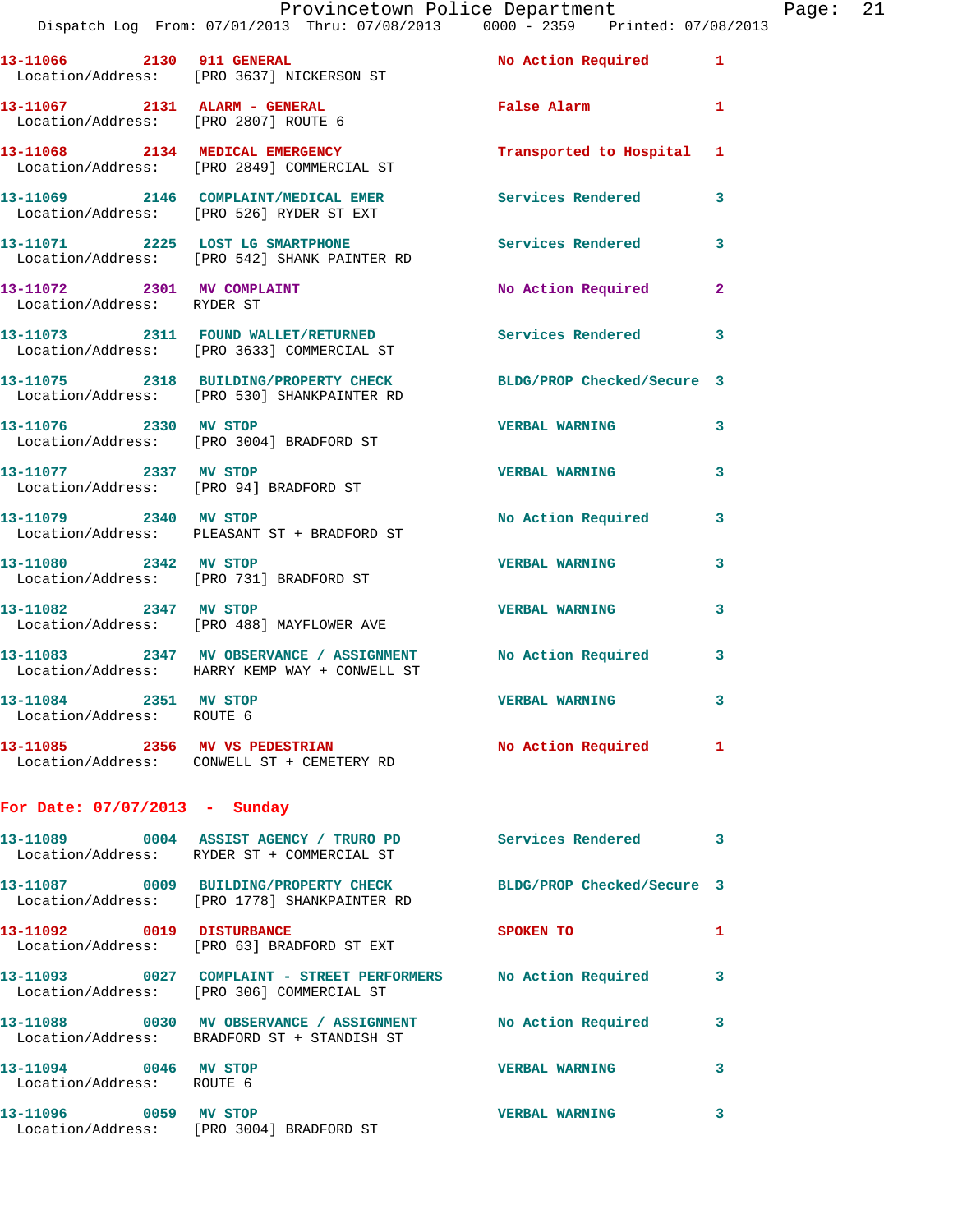|                                                          | Provincetown Police Department<br>Dispatch Log From: 07/01/2013 Thru: 07/08/2013 0000 - 2359 Printed: 07/08/2013 |                           |              | Page: 21 |  |
|----------------------------------------------------------|------------------------------------------------------------------------------------------------------------------|---------------------------|--------------|----------|--|
|                                                          | 13-11066 2130 911 GENERAL<br>Location/Address: [PRO 3637] NICKERSON ST                                           | No Action Required 1      |              |          |  |
|                                                          | 13-11067 2131 ALARM - GENERAL<br>Location/Address: [PRO 2807] ROUTE 6                                            | False Alarm 1             |              |          |  |
|                                                          | 13-11068 2134 MEDICAL EMERGENCY<br>Location/Address: [PRO 2849] COMMERCIAL ST                                    | Transported to Hospital 1 |              |          |  |
|                                                          | 13-11069 2146 COMPLAINT/MEDICAL EMER<br>Location/Address: [PRO 526] RYDER ST EXT                                 |                           | $\mathbf{3}$ |          |  |
|                                                          | 13-11071 2225 LOST LG SMARTPHONE<br>Location/Address: [PRO 542] SHANK PAINTER RD                                 | Services Rendered         | 3            |          |  |
| 13-11072 2301 MV COMPLAINT<br>Location/Address: RYDER ST |                                                                                                                  | No Action Required        | $\mathbf{2}$ |          |  |
|                                                          | 13-11073 2311 FOUND WALLET/RETURNED Services Rendered<br>Location/Address: [PRO 3633] COMMERCIAL ST              |                           | 3            |          |  |
|                                                          | 13-11075 2318 BUILDING/PROPERTY CHECK BLDG/PROP Checked/Secure 3<br>Location/Address: [PRO 530] SHANKPAINTER RD  |                           |              |          |  |
| 13-11076 2330 MV STOP                                    | Location/Address: [PRO 3004] BRADFORD ST                                                                         | VERBAL WARNING 3          |              |          |  |
|                                                          | 13-11077 2337 MV STOP<br>Location/Address: [PRO 94] BRADFORD ST                                                  | <b>VERBAL WARNING</b>     | 3            |          |  |
| 13-11079 2340 MV STOP                                    | Location/Address: PLEASANT ST + BRADFORD ST                                                                      | No Action Required 3      |              |          |  |
|                                                          | 13-11080 2342 MV STOP<br>Location/Address: [PRO 731] BRADFORD ST                                                 | <b>VERBAL WARNING</b>     | 3            |          |  |
| 13-11082 2347 MV STOP                                    | Location/Address: [PRO 488] MAYFLOWER AVE                                                                        | <b>VERBAL WARNING</b>     | 3            |          |  |
|                                                          | 13-11083 2347 MV OBSERVANCE / ASSIGNMENT No Action Required 3<br>Location/Address: HARRY KEMP WAY + CONWELL ST   |                           |              |          |  |
| 13-11084 2351 MV STOP<br>Location/Address: ROUTE 6       |                                                                                                                  | <b>VERBAL WARNING</b>     |              |          |  |
|                                                          | 13-11085 2356 MV VS PEDESTRIAN NO Action Required 1<br>Location/Address: CONWELL ST + CEMETERY RD                |                           |              |          |  |
| For Date: $07/07/2013$ - Sunday                          |                                                                                                                  |                           |              |          |  |
|                                                          | 13-11089 0004 ASSIST AGENCY / TRURO PD Services Rendered<br>Location/Address: RYDER ST + COMMERCIAL ST           |                           | 3            |          |  |
|                                                          | 13-11087 0009 BUILDING/PROPERTY CHECK BLDG/PROP Checked/Secure 3<br>Location/Address: [PRO 1778] SHANKPAINTER RD |                           |              |          |  |
|                                                          | 13-11092 0019 DISTURBANCE<br>Location/Address: [PRO 63] BRADFORD ST EXT                                          | SPOKEN TO                 | 1            |          |  |
|                                                          | 13-11093 0027 COMPLAINT - STREET PERFORMERS No Action Required<br>Location/Address: [PRO 306] COMMERCIAL ST      |                           | 3            |          |  |
|                                                          | 13-11088 0030 MV OBSERVANCE / ASSIGNMENT No Action Required<br>Location/Address: BRADFORD ST + STANDISH ST       |                           | 3            |          |  |
| 13-11094 0046 MV STOP<br>Location/Address: ROUTE 6       |                                                                                                                  | <b>VERBAL WARNING</b>     | 3            |          |  |
| 13-11096 0059 MV STOP                                    |                                                                                                                  | <b>VERBAL WARNING</b>     | 3            |          |  |

Location/Address: [PRO 3004] BRADFORD ST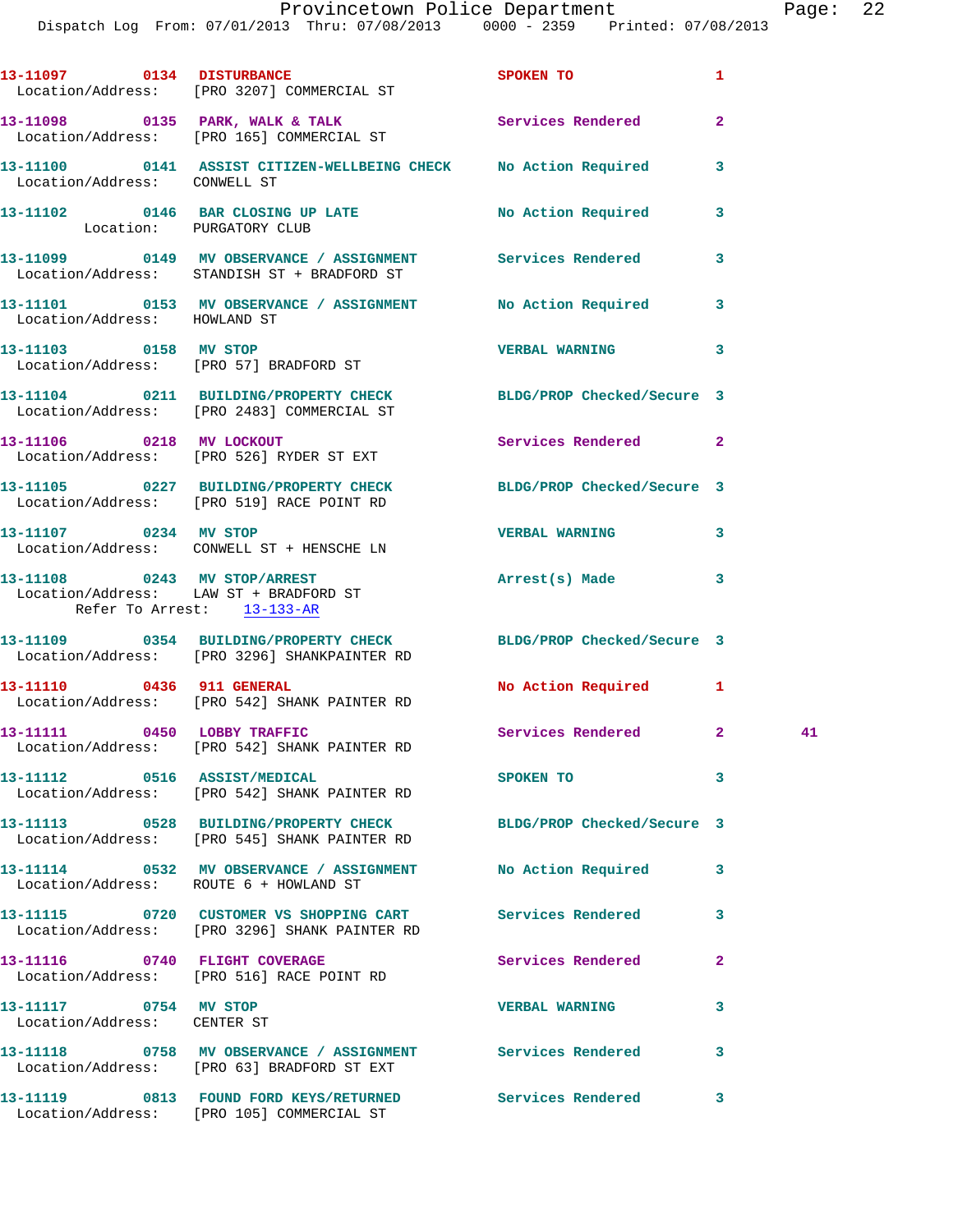|                                                      | 13-11097 0134 DISTURBANCE<br>Location/Address: [PRO 3207] COMMERCIAL ST                                          | <b>SPOKEN TO</b>         | 1              |  |
|------------------------------------------------------|------------------------------------------------------------------------------------------------------------------|--------------------------|----------------|--|
|                                                      | 13-11098 0135 PARK, WALK & TALK Services Rendered<br>Location/Address: [PRO 165] COMMERCIAL ST                   |                          | $\overline{2}$ |  |
| Location/Address: CONWELL ST                         | 13-11100 0141 ASSIST CITIZEN-WELLBEING CHECK No Action Required                                                  |                          | 3              |  |
| Location: PURGATORY CLUB                             | 13-11102 0146 BAR CLOSING UP LATE No Action Required                                                             |                          | 3              |  |
|                                                      | 13-11099 0149 MV OBSERVANCE / ASSIGNMENT Services Rendered<br>Location/Address: STANDISH ST + BRADFORD ST        |                          | 3              |  |
| Location/Address: HOWLAND ST                         | 13-11101 0153 MV OBSERVANCE / ASSIGNMENT No Action Required                                                      |                          | 3              |  |
|                                                      | 13-11103 0158 MV STOP<br>Location/Address: [PRO 57] BRADFORD ST                                                  | <b>VERBAL WARNING</b>    | 3              |  |
|                                                      | 13-11104 0211 BUILDING/PROPERTY CHECK BLDG/PROP Checked/Secure 3<br>Location/Address: [PRO 2483] COMMERCIAL ST   |                          |                |  |
|                                                      | 13-11106 0218 MV LOCKOUT<br>Location/Address: [PRO 526] RYDER ST EXT                                             | Services Rendered        | $\overline{2}$ |  |
|                                                      | 13-11105 0227 BUILDING/PROPERTY CHECK BLDG/PROP Checked/Secure 3<br>Location/Address: [PRO 519] RACE POINT RD    |                          |                |  |
| 13-11107 0234 MV STOP                                | Location/Address: CONWELL ST + HENSCHE LN                                                                        | <b>VERBAL WARNING</b>    | 3              |  |
| Refer To Arrest: 13-133-AR                           | 13-11108 0243 MV STOP/ARREST<br>Location/Address: LAW ST + BRADFORD ST                                           | Arrest(s) Made           | 3              |  |
|                                                      | 13-11109 0354 BUILDING/PROPERTY CHECK BLDG/PROP Checked/Secure 3<br>Location/Address: [PRO 3296] SHANKPAINTER RD |                          |                |  |
|                                                      | 13-11110 0436 911 GENERAL<br>Location/Address: [PRO 542] SHANK PAINTER RD                                        | No Action Required       | 1              |  |
| 13-11111 0450 LOBBY TRAFFIC                          | Location/Address: [PRO 542] SHANK PAINTER RD                                                                     | Services Rendered 2 41   |                |  |
|                                                      | 13-11112 0516 ASSIST/MEDICAL<br>Location/Address: [PRO 542] SHANK PAINTER RD                                     | SPOKEN TO                | 3              |  |
|                                                      | 13-11113 0528 BUILDING/PROPERTY CHECK BLDG/PROP Checked/Secure 3<br>Location/Address: [PRO 545] SHANK PAINTER RD |                          |                |  |
|                                                      | 13-11114 0532 MV OBSERVANCE / ASSIGNMENT No Action Required<br>Location/Address: ROUTE 6 + HOWLAND ST            |                          | 3              |  |
|                                                      | 13-11115 0720 CUSTOMER VS SHOPPING CART Services Rendered<br>Location/Address: [PRO 3296] SHANK PAINTER RD       |                          | 3              |  |
|                                                      | 13-11116 0740 FLIGHT COVERAGE<br>Location/Address: [PRO 516] RACE POINT RD                                       | <b>Services Rendered</b> | $\overline{a}$ |  |
| 13-11117 0754 MV STOP<br>Location/Address: CENTER ST |                                                                                                                  | <b>VERBAL WARNING</b>    | 3              |  |
|                                                      | 13-11118 0758 MV OBSERVANCE / ASSIGNMENT Services Rendered<br>Location/Address: [PRO 63] BRADFORD ST EXT         |                          | 3              |  |
|                                                      | 13-11119 0813 FOUND FORD KEYS/RETURNED Services Rendered<br>Location/Address: [PRO 105] COMMERCIAL ST            |                          | 3              |  |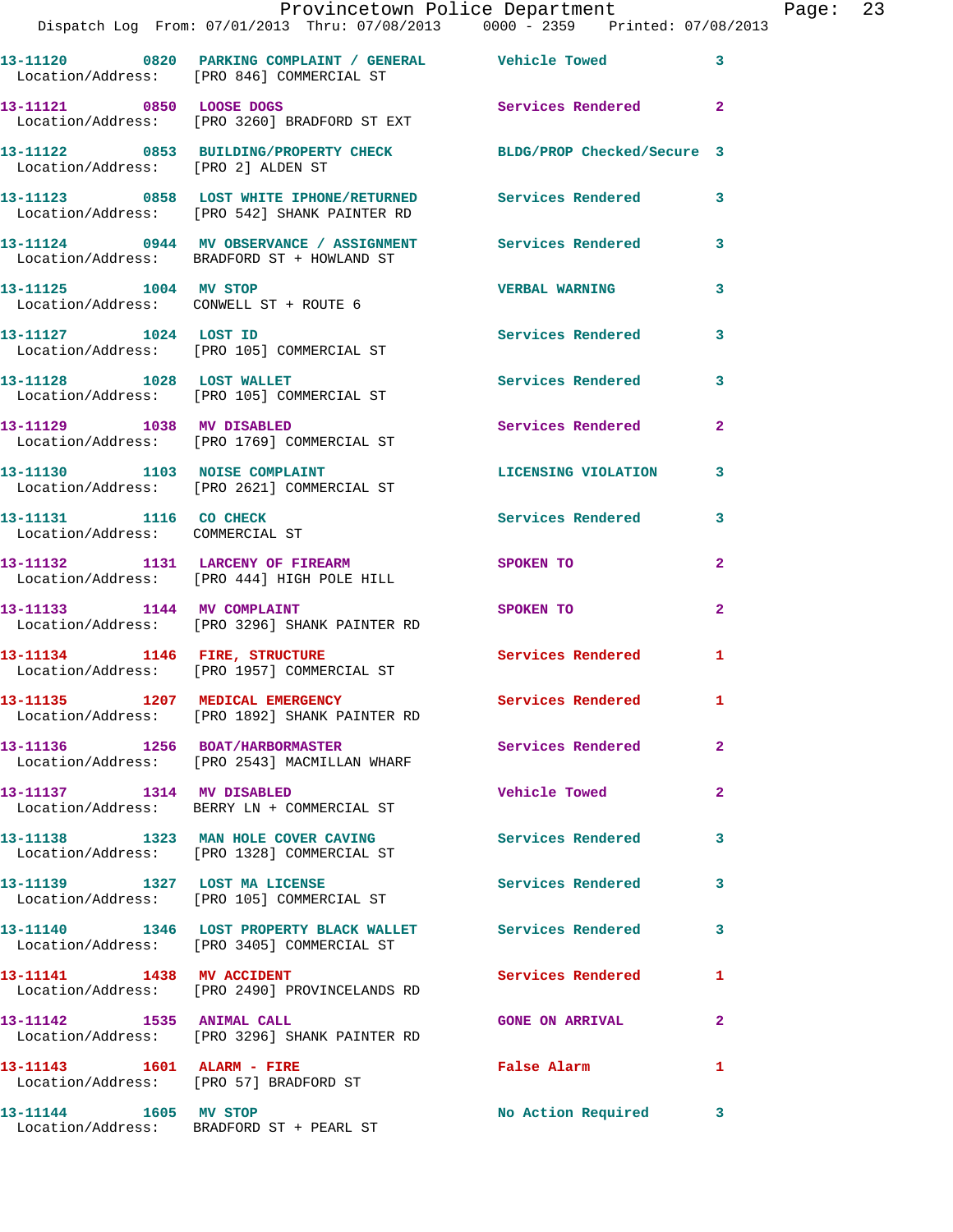| Provincetown Police Department |  |      |                                                |  |  | Paqe:                           | 23 |  |  |
|--------------------------------|--|------|------------------------------------------------|--|--|---------------------------------|----|--|--|
|                                |  |      | Dispatch Log From: 07/01/2013 Thru: 07/08/2013 |  |  | 0000 - 2359 Printed: 07/08/2013 |    |  |  |
|                                |  |      |                                                |  |  |                                 |    |  |  |
| 13-11120                       |  | 0820 | PARKING COMPLAINT / GENERAL                    |  |  | <b>Vehicle Towed</b>            |    |  |  |

| 359 | Printed: 07/08/2013 |  |
|-----|---------------------|--|
|     |                     |  |

|                                                           | Location/Address: [PRO 846] COMMERCIAL ST                                                                |                            |                |
|-----------------------------------------------------------|----------------------------------------------------------------------------------------------------------|----------------------------|----------------|
| 13-11121 0850 LOOSE DOGS                                  | Location/Address: [PRO 3260] BRADFORD ST EXT                                                             | Services Rendered 2        |                |
| Location/Address: [PRO 2] ALDEN ST                        | 13-11122 0853 BUILDING/PROPERTY CHECK                                                                    | BLDG/PROP Checked/Secure 3 |                |
|                                                           | 13-11123 0858 LOST WHITE IPHONE/RETURNED<br>Location/Address: [PRO 542] SHANK PAINTER RD                 | Services Rendered          | 3              |
|                                                           | 13-11124 0944 MV OBSERVANCE / ASSIGNMENT<br>Location/Address: BRADFORD ST + HOWLAND ST                   | Services Rendered          | 3              |
| 13-11125 1004 MV STOP                                     | Location/Address: CONWELL ST + ROUTE 6                                                                   | <b>VERBAL WARNING</b>      | 3              |
| 13-11127 1024 LOST ID                                     | Location/Address: [PRO 105] COMMERCIAL ST                                                                | Services Rendered          | 3              |
| 13-11128 1028 LOST WALLET                                 | Location/Address: [PRO 105] COMMERCIAL ST                                                                | <b>Services Rendered</b>   | 3              |
| 13-11129 1038 MV DISABLED                                 | Location/Address: [PRO 1769] COMMERCIAL ST                                                               | <b>Services Rendered</b>   | $\mathbf{2}$   |
| 13-11130 1103 NOISE COMPLAINT                             | Location/Address: [PRO 2621] COMMERCIAL ST                                                               | <b>LICENSING VIOLATION</b> | 3              |
| 13-11131 1116 CO CHECK<br>Location/Address: COMMERCIAL ST |                                                                                                          | Services Rendered          | 3              |
|                                                           | 13-11132 1131 LARCENY OF FIREARM<br>Location/Address: [PRO 444] HIGH POLE HILL                           | SPOKEN TO                  | $\overline{2}$ |
| 13-11133 1144 MV COMPLAINT                                | Location/Address: [PRO 3296] SHANK PAINTER RD                                                            | SPOKEN TO                  | $\overline{2}$ |
| 13-11134 1146 FIRE, STRUCTURE                             | Location/Address: [PRO 1957] COMMERCIAL ST                                                               | Services Rendered          | $\mathbf{1}$   |
|                                                           | 13-11135 1207 MEDICAL EMERGENCY<br>Location/Address: [PRO 1892] SHANK PAINTER RD                         | <b>Services Rendered</b>   | 1              |
| 13-11136 1256 BOAT/HARBORMASTER                           | Location/Address: [PRO 2543] MACMILLAN WHARF                                                             | Services Rendered 2        |                |
|                                                           | Location/Address: BERRY LN + COMMERCIAL ST                                                               | Vehicle Towed              | $\mathbf{2}$   |
|                                                           | 13-11138 1323 MAN HOLE COVER CAVING<br>Location/Address: [PRO 1328] COMMERCIAL ST                        | <b>Services Rendered</b>   | 3              |
|                                                           | 13-11139 1327 LOST MA LICENSE<br>Location/Address: [PRO 105] COMMERCIAL ST                               | Services Rendered          | 3              |
|                                                           | 13-11140 1346 LOST PROPERTY BLACK WALLET Services Rendered<br>Location/Address: [PRO 3405] COMMERCIAL ST |                            | 3              |
| 13-11141 1438 MV ACCIDENT                                 | Location/Address: [PRO 2490] PROVINCELANDS RD                                                            | Services Rendered          | 1              |
| 13-11142 1535 ANIMAL CALL                                 | Location/Address: [PRO 3296] SHANK PAINTER RD                                                            | <b>GONE ON ARRIVAL</b>     | $\mathbf{2}$   |
| 13-11143    1601    ALARM - FIRE                          | Location/Address: [PRO 57] BRADFORD ST                                                                   | False Alarm                | 1              |
| 13-11144 1605 MV STOP                                     | Location/Address: BRADFORD ST + PEARL ST                                                                 | No Action Required 3       |                |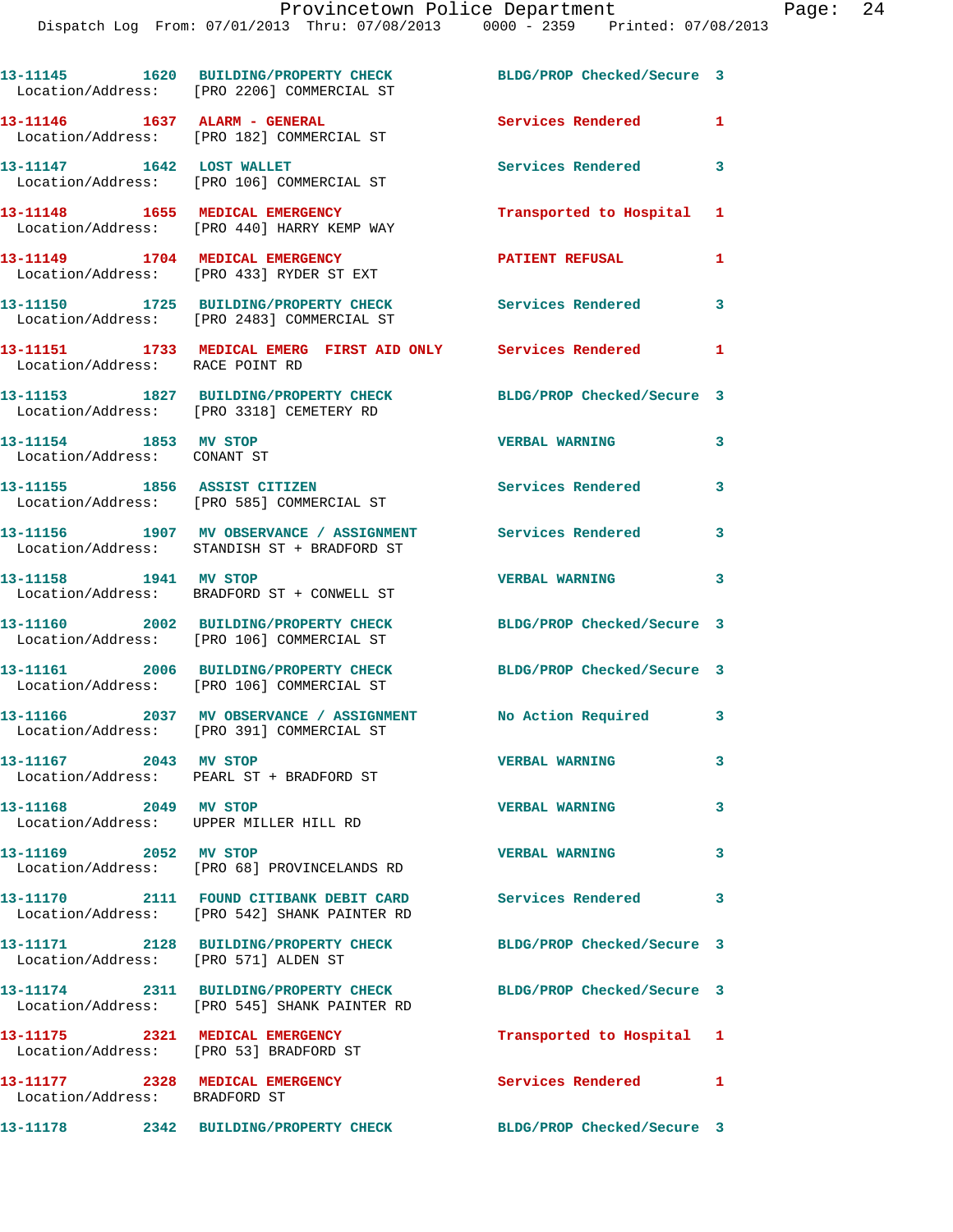|                                                      | 13-11145 1620 BUILDING/PROPERTY CHECK<br>Location/Address: [PRO 2206] COMMERCIAL ST                       | BLDG/PROP Checked/Secure 3 |              |
|------------------------------------------------------|-----------------------------------------------------------------------------------------------------------|----------------------------|--------------|
| 13-11146    1637    ALARM - GENERAL                  | Location/Address: [PRO 182] COMMERCIAL ST                                                                 | Services Rendered          | $\mathbf{1}$ |
| 13-11147 1642 LOST WALLET                            | Location/Address: [PRO 106] COMMERCIAL ST                                                                 | <b>Services Rendered</b>   | 3            |
|                                                      | 13-11148 1655 MEDICAL EMERGENCY<br>Location/Address: [PRO 440] HARRY KEMP WAY                             | Transported to Hospital 1  |              |
|                                                      | 13-11149 1704 MEDICAL EMERGENCY<br>Location/Address: [PRO 433] RYDER ST EXT                               | <b>PATIENT REFUSAL</b>     | 1            |
|                                                      | 13-11150 1725 BUILDING/PROPERTY CHECK<br>Location/Address: [PRO 2483] COMMERCIAL ST                       | Services Rendered          | 3            |
| Location/Address: RACE POINT RD                      | 13-11151 1733 MEDICAL EMERG FIRST AID ONLY Services Rendered                                              |                            | $\mathbf{1}$ |
|                                                      | 13-11153 1827 BUILDING/PROPERTY CHECK<br>Location/Address: [PRO 3318] CEMETERY RD                         | BLDG/PROP Checked/Secure 3 |              |
| 13-11154 1853 MV STOP<br>Location/Address: CONANT ST |                                                                                                           | <b>VERBAL WARNING</b>      | 3            |
|                                                      | 13-11155 1856 ASSIST CITIZEN<br>Location/Address: [PRO 585] COMMERCIAL ST                                 | Services Rendered          | 3            |
|                                                      | 13-11156 1907 MV OBSERVANCE / ASSIGNMENT Services Rendered<br>Location/Address: STANDISH ST + BRADFORD ST |                            | 3            |
| 13-11158 1941 MV STOP                                | Location/Address: BRADFORD ST + CONWELL ST                                                                | <b>VERBAL WARNING</b>      | 3            |
|                                                      | 13-11160 2002 BUILDING/PROPERTY CHECK<br>Location/Address: [PRO 106] COMMERCIAL ST                        | BLDG/PROP Checked/Secure 3 |              |
|                                                      | 13-11161 2006 BUILDING/PROPERTY CHECK<br>Location/Address: [PRO 106] COMMERCIAL ST                        | BLDG/PROP Checked/Secure 3 |              |
|                                                      | 13-11166 2037 MV OBSERVANCE / ASSIGNMENT<br>Location/Address: [PRO 391] COMMERCIAL ST                     | No Action Required 3       |              |
| 13-11167 2043 MV STOP                                | Location/Address: PEARL ST + BRADFORD ST                                                                  | <b>VERBAL WARNING</b>      | 3            |
| 13-11168 2049 MV STOP                                | Location/Address: UPPER MILLER HILL RD                                                                    | <b>VERBAL WARNING</b>      | 3            |
| 13-11169 2052 MV STOP                                | Location/Address: [PRO 68] PROVINCELANDS RD                                                               | <b>VERBAL WARNING</b>      | 3            |
|                                                      | 13-11170 2111 FOUND CITIBANK DEBIT CARD<br>Location/Address: [PRO 542] SHANK PAINTER RD                   | Services Rendered 3        |              |
| Location/Address: [PRO 571] ALDEN ST                 | 13-11171 2128 BUILDING/PROPERTY CHECK                                                                     | BLDG/PROP Checked/Secure 3 |              |
|                                                      | 13-11174 2311 BUILDING/PROPERTY CHECK<br>Location/Address: [PRO 545] SHANK PAINTER RD                     | BLDG/PROP Checked/Secure 3 |              |
| Location/Address: [PRO 53] BRADFORD ST               | 13-11175 2321 MEDICAL EMERGENCY                                                                           | Transported to Hospital 1  |              |
| Location/Address: BRADFORD ST                        | 13-11177 2328 MEDICAL EMERGENCY                                                                           | Services Rendered 1        |              |
|                                                      | 13-11178 2342 BUILDING/PROPERTY CHECK BLDG/PROP Checked/Secure 3                                          |                            |              |